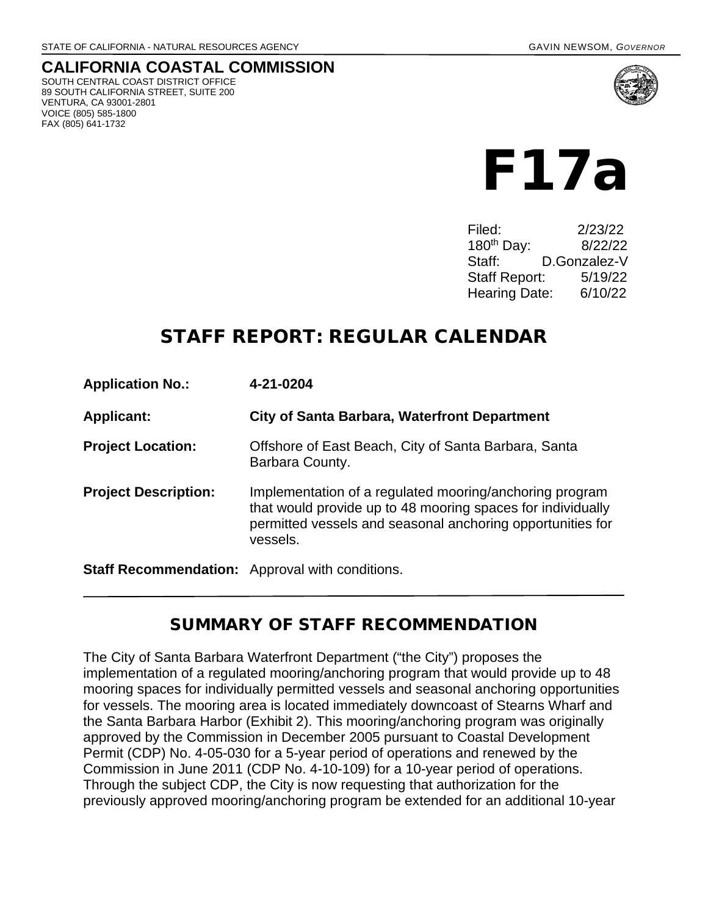#### **CALIFORNIA COASTAL COMMISSION** SOUTH CENTRAL COAST DISTRICT OFFICE 89 SOUTH CALIFORNIA STREET, SUITE 200 VENTURA, CA 93001-2801 VOICE (805) 585-1800 FAX (805) 641-1732





Filed: 2/23/22 180th Day: 8/22/22 Staff: D.Gonzalez-V Staff Report: 5/19/22 Hearing Date: 6/10/22

## STAFF REPORT: REGULAR CALENDAR

| <b>Application No.:</b>                                | 4-21-0204                                                                                                                                                                                        |
|--------------------------------------------------------|--------------------------------------------------------------------------------------------------------------------------------------------------------------------------------------------------|
| <b>Applicant:</b>                                      | <b>City of Santa Barbara, Waterfront Department</b>                                                                                                                                              |
| <b>Project Location:</b>                               | Offshore of East Beach, City of Santa Barbara, Santa<br>Barbara County.                                                                                                                          |
| <b>Project Description:</b>                            | Implementation of a regulated mooring/anchoring program<br>that would provide up to 48 mooring spaces for individually<br>permitted vessels and seasonal anchoring opportunities for<br>vessels. |
| <b>Staff Recommendation:</b> Approval with conditions. |                                                                                                                                                                                                  |

### SUMMARY OF STAFF RECOMMENDATION

The City of Santa Barbara Waterfront Department ("the City") proposes the implementation of a regulated mooring/anchoring program that would provide up to 48 mooring spaces for individually permitted vessels and seasonal anchoring opportunities for vessels. The mooring area is located immediately downcoast of Stearns Wharf and the Santa Barbara Harbor (Exhibit 2). This mooring/anchoring program was originally approved by the Commission in December 2005 pursuant to Coastal Development Permit (CDP) No. 4-05-030 for a 5-year period of operations and renewed by the Commission in June 2011 (CDP No. 4-10-109) for a 10-year period of operations. Through the subject CDP, the City is now requesting that authorization for the previously approved mooring/anchoring program be extended for an additional 10-year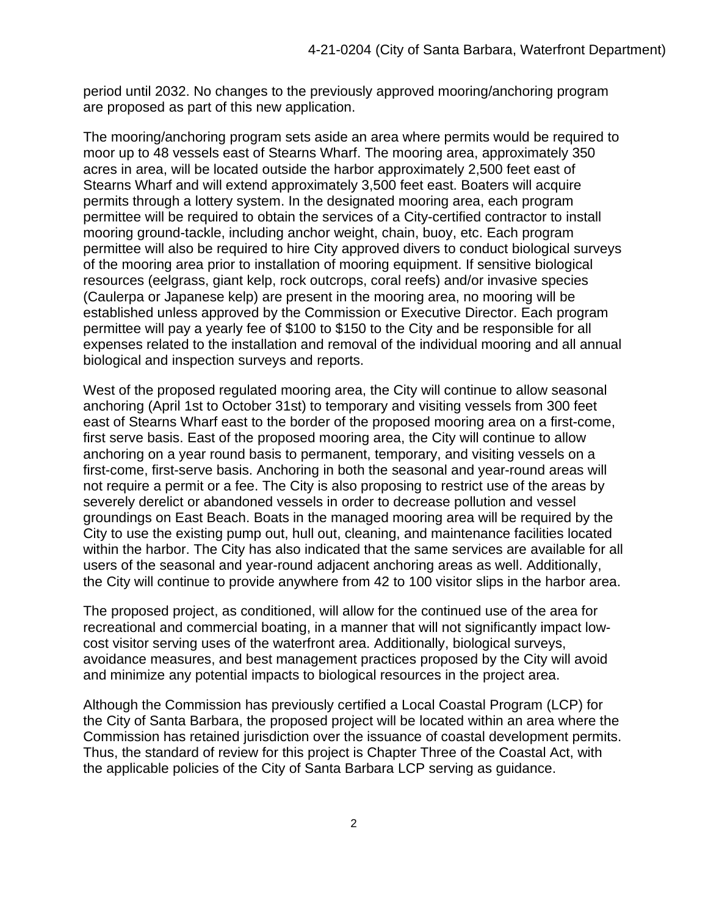period until 2032. No changes to the previously approved mooring/anchoring program are proposed as part of this new application.

The mooring/anchoring program sets aside an area where permits would be required to moor up to 48 vessels east of Stearns Wharf. The mooring area, approximately 350 acres in area, will be located outside the harbor approximately 2,500 feet east of Stearns Wharf and will extend approximately 3,500 feet east. Boaters will acquire permits through a lottery system. In the designated mooring area, each program permittee will be required to obtain the services of a City-certified contractor to install mooring ground-tackle, including anchor weight, chain, buoy, etc. Each program permittee will also be required to hire City approved divers to conduct biological surveys of the mooring area prior to installation of mooring equipment. If sensitive biological resources (eelgrass, giant kelp, rock outcrops, coral reefs) and/or invasive species (Caulerpa or Japanese kelp) are present in the mooring area, no mooring will be established unless approved by the Commission or Executive Director. Each program permittee will pay a yearly fee of \$100 to \$150 to the City and be responsible for all expenses related to the installation and removal of the individual mooring and all annual biological and inspection surveys and reports.

West of the proposed regulated mooring area, the City will continue to allow seasonal anchoring (April 1st to October 31st) to temporary and visiting vessels from 300 feet east of Stearns Wharf east to the border of the proposed mooring area on a first-come, first serve basis. East of the proposed mooring area, the City will continue to allow anchoring on a year round basis to permanent, temporary, and visiting vessels on a first-come, first-serve basis. Anchoring in both the seasonal and year-round areas will not require a permit or a fee. The City is also proposing to restrict use of the areas by severely derelict or abandoned vessels in order to decrease pollution and vessel groundings on East Beach. Boats in the managed mooring area will be required by the City to use the existing pump out, hull out, cleaning, and maintenance facilities located within the harbor. The City has also indicated that the same services are available for all users of the seasonal and year-round adjacent anchoring areas as well. Additionally, the City will continue to provide anywhere from 42 to 100 visitor slips in the harbor area.

The proposed project, as conditioned, will allow for the continued use of the area for recreational and commercial boating, in a manner that will not significantly impact lowcost visitor serving uses of the waterfront area. Additionally, biological surveys, avoidance measures, and best management practices proposed by the City will avoid and minimize any potential impacts to biological resources in the project area.

Although the Commission has previously certified a Local Coastal Program (LCP) for the City of Santa Barbara, the proposed project will be located within an area where the Commission has retained jurisdiction over the issuance of coastal development permits. Thus, the standard of review for this project is Chapter Three of the Coastal Act, with the applicable policies of the City of Santa Barbara LCP serving as guidance.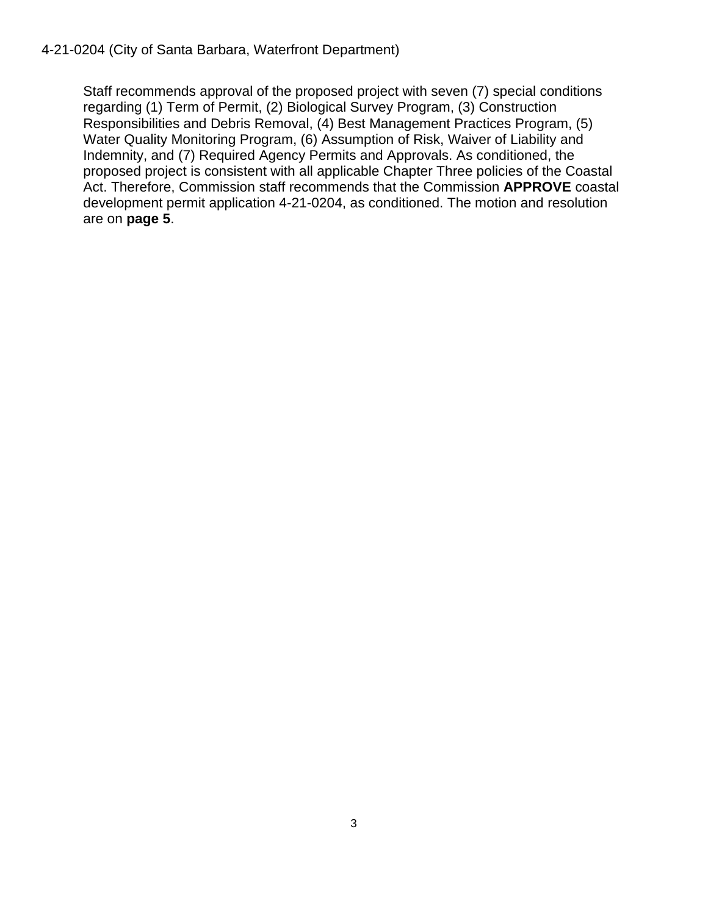#### 4-21-0204 (City of Santa Barbara, Waterfront Department)

Staff recommends approval of the proposed project with seven (7) special conditions regarding (1) Term of Permit, (2) Biological Survey Program, (3) Construction Responsibilities and Debris Removal, (4) Best Management Practices Program, (5) Water Quality Monitoring Program, (6) Assumption of Risk, Waiver of Liability and Indemnity, and (7) Required Agency Permits and Approvals. As conditioned, the proposed project is consistent with all applicable Chapter Three policies of the Coastal Act. Therefore, Commission staff recommends that the Commission **APPROVE** coastal development permit application 4-21-0204, as conditioned. The motion and resolution are on **page 5**.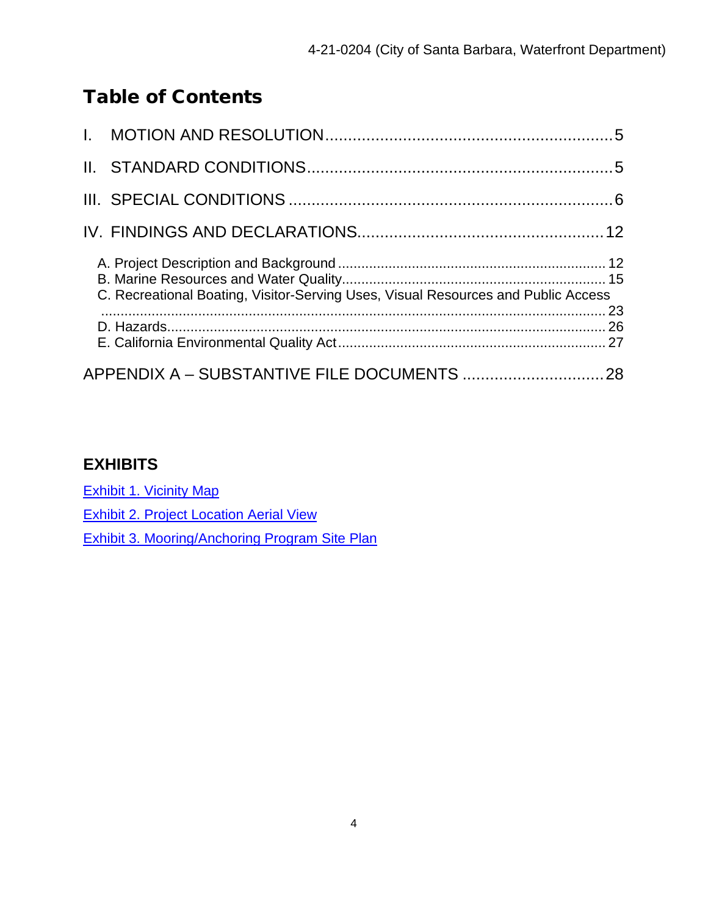## Table of Contents

| C. Recreational Boating, Visitor-Serving Uses, Visual Resources and Public Access |  |
|-----------------------------------------------------------------------------------|--|
|                                                                                   |  |
|                                                                                   |  |

### **EXHIBITS**

[Exhibit 1. Vicinity Map](https://documents.coastal.ca.gov/reports/2022/6/F17a/F17a-6-2022-exhibits.pdf)

[Exhibit 2. Project Location Aerial](https://documents.coastal.ca.gov/reports/2022/6/F17a/F17a-6-2022-exhibits.pdf) View

[Exhibit 3. Mooring/Anchoring Program Site](https://documents.coastal.ca.gov/reports/2022/6/F17a/F17a-6-2022-exhibits.pdf) Plan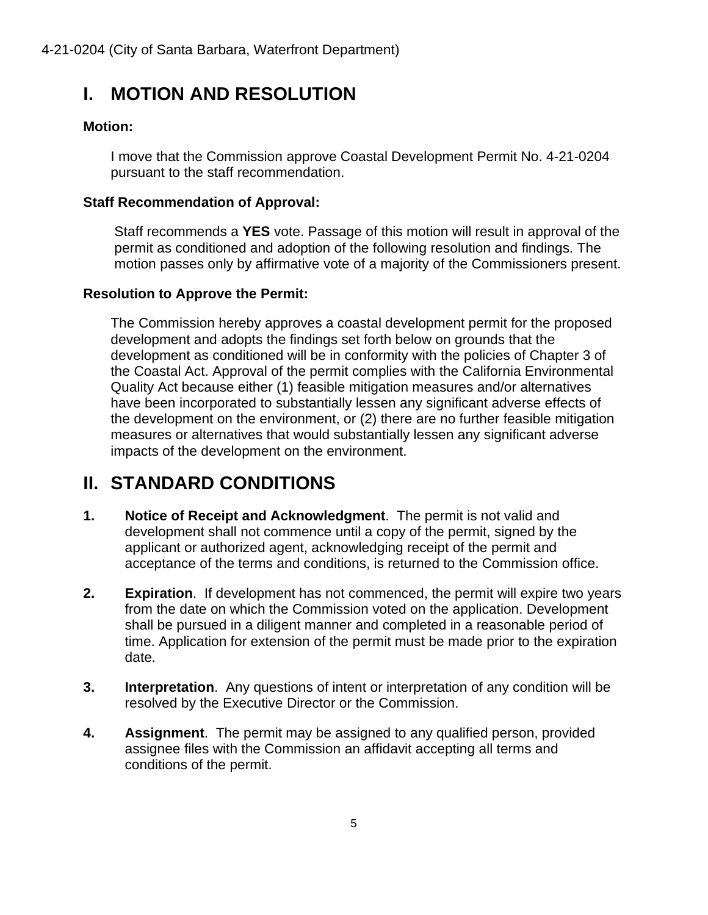# <span id="page-4-0"></span>**I. MOTION AND RESOLUTION**

#### **Motion:**

I move that the Commission approve Coastal Development Permit No. 4-21-0204 pursuant to the staff recommendation.

#### **Staff Recommendation of Approval:**

Staff recommends a **YES** vote. Passage of this motion will result in approval of the permit as conditioned and adoption of the following resolution and findings. The motion passes only by affirmative vote of a majority of the Commissioners present.

#### **Resolution to Approve the Permit:**

The Commission hereby approves a coastal development permit for the proposed development and adopts the findings set forth below on grounds that the development as conditioned will be in conformity with the policies of Chapter 3 of the Coastal Act. Approval of the permit complies with the California Environmental Quality Act because either (1) feasible mitigation measures and/or alternatives have been incorporated to substantially lessen any significant adverse effects of the development on the environment, or (2) there are no further feasible mitigation measures or alternatives that would substantially lessen any significant adverse impacts of the development on the environment.

# <span id="page-4-1"></span>**II. STANDARD CONDITIONS**

- **1. Notice of Receipt and Acknowledgment**. The permit is not valid and development shall not commence until a copy of the permit, signed by the applicant or authorized agent, acknowledging receipt of the permit and acceptance of the terms and conditions, is returned to the Commission office.
- **2. Expiration**. If development has not commenced, the permit will expire two years from the date on which the Commission voted on the application. Development shall be pursued in a diligent manner and completed in a reasonable period of time. Application for extension of the permit must be made prior to the expiration date.
- **3. Interpretation**. Any questions of intent or interpretation of any condition will be resolved by the Executive Director or the Commission.
- **4. Assignment**. The permit may be assigned to any qualified person, provided assignee files with the Commission an affidavit accepting all terms and conditions of the permit.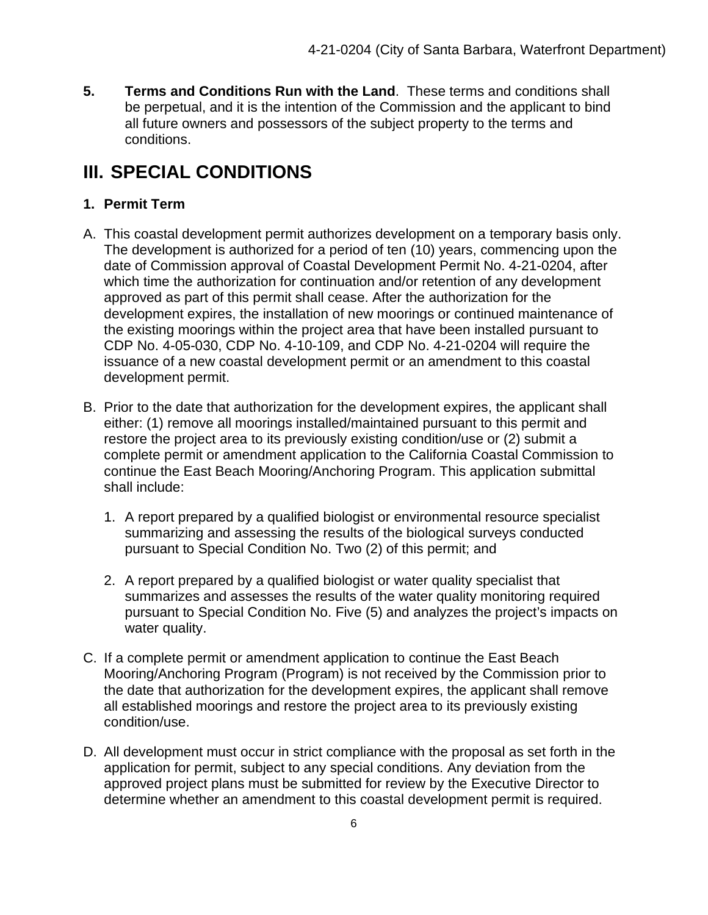**5. Terms and Conditions Run with the Land**. These terms and conditions shall be perpetual, and it is the intention of the Commission and the applicant to bind all future owners and possessors of the subject property to the terms and conditions.

# <span id="page-5-0"></span>**III. SPECIAL CONDITIONS**

#### **1. Permit Term**

- A. This coastal development permit authorizes development on a temporary basis only. The development is authorized for a period of ten (10) years, commencing upon the date of Commission approval of Coastal Development Permit No. 4-21-0204, after which time the authorization for continuation and/or retention of any development approved as part of this permit shall cease. After the authorization for the development expires, the installation of new moorings or continued maintenance of the existing moorings within the project area that have been installed pursuant to CDP No. 4-05-030, CDP No. 4-10-109, and CDP No. 4-21-0204 will require the issuance of a new coastal development permit or an amendment to this coastal development permit.
- B. Prior to the date that authorization for the development expires, the applicant shall either: (1) remove all moorings installed/maintained pursuant to this permit and restore the project area to its previously existing condition/use or (2) submit a complete permit or amendment application to the California Coastal Commission to continue the East Beach Mooring/Anchoring Program. This application submittal shall include:
	- 1. A report prepared by a qualified biologist or environmental resource specialist summarizing and assessing the results of the biological surveys conducted pursuant to Special Condition No. Two (2) of this permit; and
	- 2. A report prepared by a qualified biologist or water quality specialist that summarizes and assesses the results of the water quality monitoring required pursuant to Special Condition No. Five (5) and analyzes the project's impacts on water quality.
- C. If a complete permit or amendment application to continue the East Beach Mooring/Anchoring Program (Program) is not received by the Commission prior to the date that authorization for the development expires, the applicant shall remove all established moorings and restore the project area to its previously existing condition/use.
- D. All development must occur in strict compliance with the proposal as set forth in the application for permit, subject to any special conditions. Any deviation from the approved project plans must be submitted for review by the Executive Director to determine whether an amendment to this coastal development permit is required.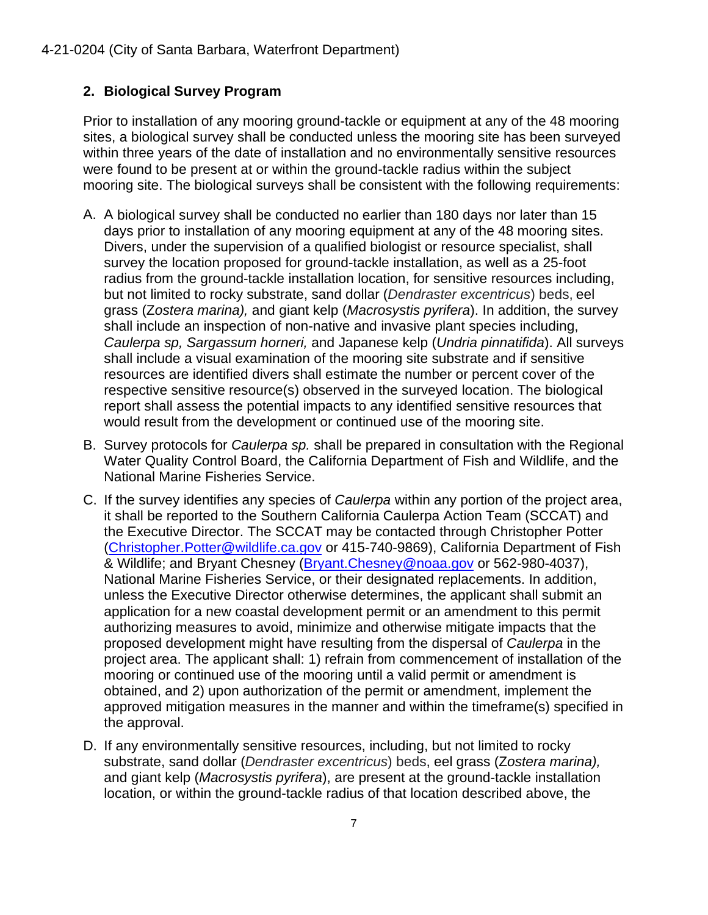#### **2. Biological Survey Program**

Prior to installation of any mooring ground-tackle or equipment at any of the 48 mooring sites, a biological survey shall be conducted unless the mooring site has been surveyed within three years of the date of installation and no environmentally sensitive resources were found to be present at or within the ground-tackle radius within the subject mooring site. The biological surveys shall be consistent with the following requirements:

- A. A biological survey shall be conducted no earlier than 180 days nor later than 15 days prior to installation of any mooring equipment at any of the 48 mooring sites. Divers, under the supervision of a qualified biologist or resource specialist, shall survey the location proposed for ground-tackle installation, as well as a 25-foot radius from the ground-tackle installation location, for sensitive resources including, but not limited to rocky substrate, sand dollar (*Dendraster excentricus*) beds, eel grass (Z*ostera marina),* and giant kelp (*Macrosystis pyrifera*). In addition, the survey shall include an inspection of non-native and invasive plant species including, *Caulerpa sp, Sargassum horneri,* and Japanese kelp (*Undria pinnatifida*). All surveys shall include a visual examination of the mooring site substrate and if sensitive resources are identified divers shall estimate the number or percent cover of the respective sensitive resource(s) observed in the surveyed location. The biological report shall assess the potential impacts to any identified sensitive resources that would result from the development or continued use of the mooring site.
- B. Survey protocols for *Caulerpa sp.* shall be prepared in consultation with the Regional Water Quality Control Board, the California Department of Fish and Wildlife, and the National Marine Fisheries Service.
- C. If the survey identifies any species of *Caulerpa* within any portion of the project area, it shall be reported to the Southern California Caulerpa Action Team (SCCAT) and the Executive Director. The SCCAT may be contacted through Christopher Potter [\(Christopher.Potter@wildlife.ca.gov](mailto:Christopher.Potter@wildlife.ca.gov) or 415-740-9869), California Department of Fish & Wildlife; and Bryant Chesney [\(Bryant.Chesney@noaa.gov](mailto:Bryant.Chesney@noaa.gov) or 562-980-4037), National Marine Fisheries Service, or their designated replacements. In addition, unless the Executive Director otherwise determines, the applicant shall submit an application for a new coastal development permit or an amendment to this permit authorizing measures to avoid, minimize and otherwise mitigate impacts that the proposed development might have resulting from the dispersal of *Caulerpa* in the project area. The applicant shall: 1) refrain from commencement of installation of the mooring or continued use of the mooring until a valid permit or amendment is obtained, and 2) upon authorization of the permit or amendment, implement the approved mitigation measures in the manner and within the timeframe(s) specified in the approval.
- D. If any environmentally sensitive resources, including, but not limited to rocky substrate, sand dollar (*Dendraster excentricus*) beds, eel grass (Z*ostera marina),*  and giant kelp (*Macrosystis pyrifera*), are present at the ground-tackle installation location, or within the ground-tackle radius of that location described above, the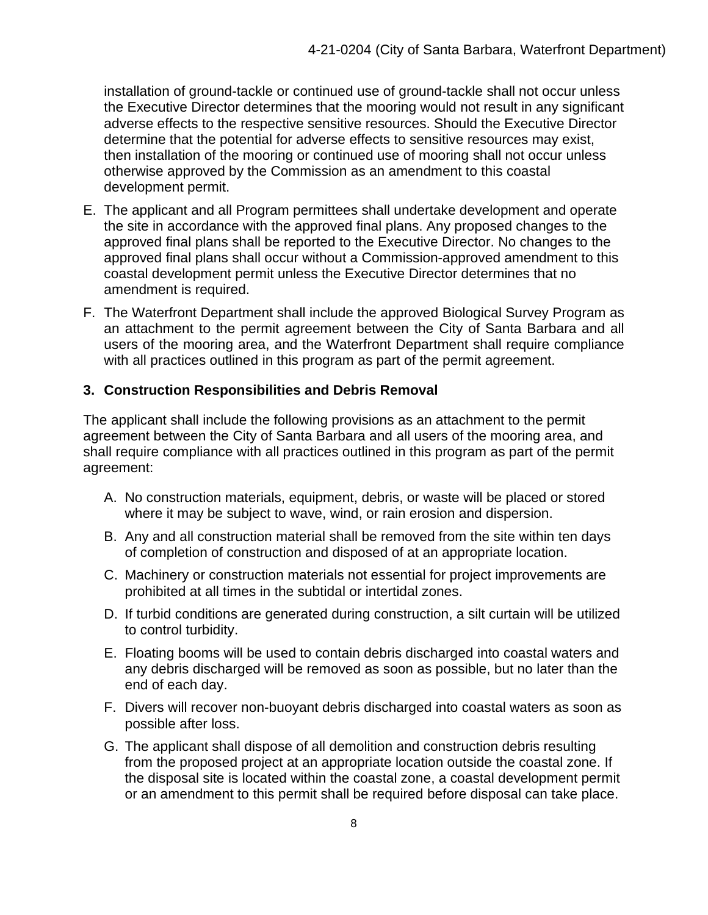installation of ground-tackle or continued use of ground-tackle shall not occur unless the Executive Director determines that the mooring would not result in any significant adverse effects to the respective sensitive resources. Should the Executive Director determine that the potential for adverse effects to sensitive resources may exist, then installation of the mooring or continued use of mooring shall not occur unless otherwise approved by the Commission as an amendment to this coastal development permit.

- E. The applicant and all Program permittees shall undertake development and operate the site in accordance with the approved final plans. Any proposed changes to the approved final plans shall be reported to the Executive Director. No changes to the approved final plans shall occur without a Commission-approved amendment to this coastal development permit unless the Executive Director determines that no amendment is required.
- F. The Waterfront Department shall include the approved Biological Survey Program as an attachment to the permit agreement between the City of Santa Barbara and all users of the mooring area, and the Waterfront Department shall require compliance with all practices outlined in this program as part of the permit agreement.

#### **3. Construction Responsibilities and Debris Removal**

The applicant shall include the following provisions as an attachment to the permit agreement between the City of Santa Barbara and all users of the mooring area, and shall require compliance with all practices outlined in this program as part of the permit agreement:

- A. No construction materials, equipment, debris, or waste will be placed or stored where it may be subject to wave, wind, or rain erosion and dispersion.
- B. Any and all construction material shall be removed from the site within ten days of completion of construction and disposed of at an appropriate location.
- C. Machinery or construction materials not essential for project improvements are prohibited at all times in the subtidal or intertidal zones.
- D. If turbid conditions are generated during construction, a silt curtain will be utilized to control turbidity.
- E. Floating booms will be used to contain debris discharged into coastal waters and any debris discharged will be removed as soon as possible, but no later than the end of each day.
- F. Divers will recover non-buoyant debris discharged into coastal waters as soon as possible after loss.
- G. The applicant shall dispose of all demolition and construction debris resulting from the proposed project at an appropriate location outside the coastal zone. If the disposal site is located within the coastal zone, a coastal development permit or an amendment to this permit shall be required before disposal can take place.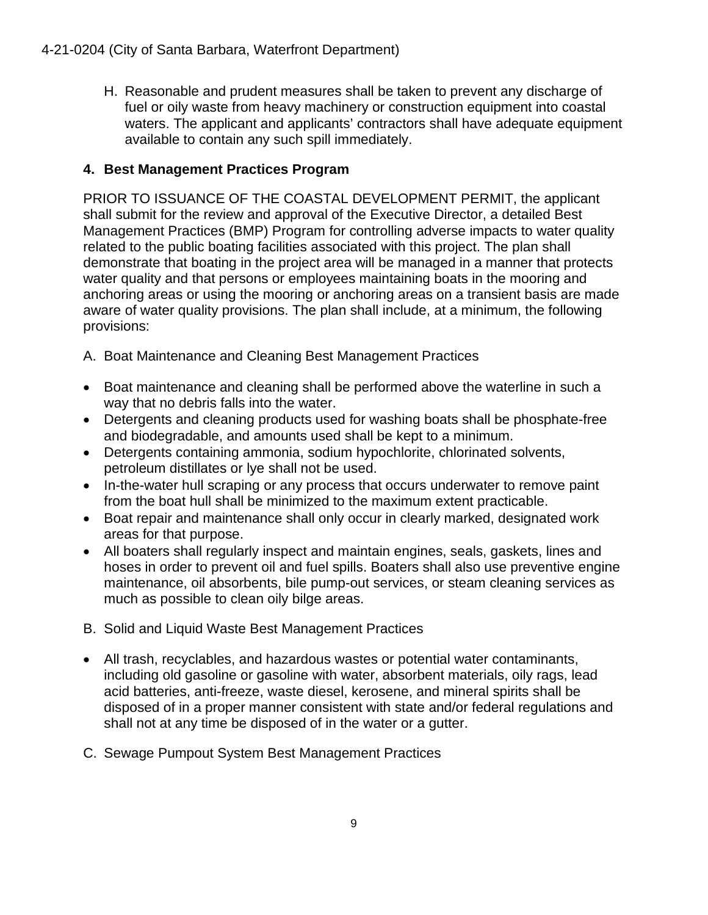H. Reasonable and prudent measures shall be taken to prevent any discharge of fuel or oily waste from heavy machinery or construction equipment into coastal waters. The applicant and applicants' contractors shall have adequate equipment available to contain any such spill immediately.

### **4. Best Management Practices Program**

PRIOR TO ISSUANCE OF THE COASTAL DEVELOPMENT PERMIT, the applicant shall submit for the review and approval of the Executive Director, a detailed Best Management Practices (BMP) Program for controlling adverse impacts to water quality related to the public boating facilities associated with this project. The plan shall demonstrate that boating in the project area will be managed in a manner that protects water quality and that persons or employees maintaining boats in the mooring and anchoring areas or using the mooring or anchoring areas on a transient basis are made aware of water quality provisions. The plan shall include, at a minimum, the following provisions:

- A. Boat Maintenance and Cleaning Best Management Practices
- Boat maintenance and cleaning shall be performed above the waterline in such a way that no debris falls into the water.
- Detergents and cleaning products used for washing boats shall be phosphate-free and biodegradable, and amounts used shall be kept to a minimum.
- Detergents containing ammonia, sodium hypochlorite, chlorinated solvents, petroleum distillates or lye shall not be used.
- In-the-water hull scraping or any process that occurs underwater to remove paint from the boat hull shall be minimized to the maximum extent practicable.
- Boat repair and maintenance shall only occur in clearly marked, designated work areas for that purpose.
- All boaters shall regularly inspect and maintain engines, seals, gaskets, lines and hoses in order to prevent oil and fuel spills. Boaters shall also use preventive engine maintenance, oil absorbents, bile pump-out services, or steam cleaning services as much as possible to clean oily bilge areas.
- B. Solid and Liquid Waste Best Management Practices
- All trash, recyclables, and hazardous wastes or potential water contaminants, including old gasoline or gasoline with water, absorbent materials, oily rags, lead acid batteries, anti-freeze, waste diesel, kerosene, and mineral spirits shall be disposed of in a proper manner consistent with state and/or federal regulations and shall not at any time be disposed of in the water or a gutter.
- C. Sewage Pumpout System Best Management Practices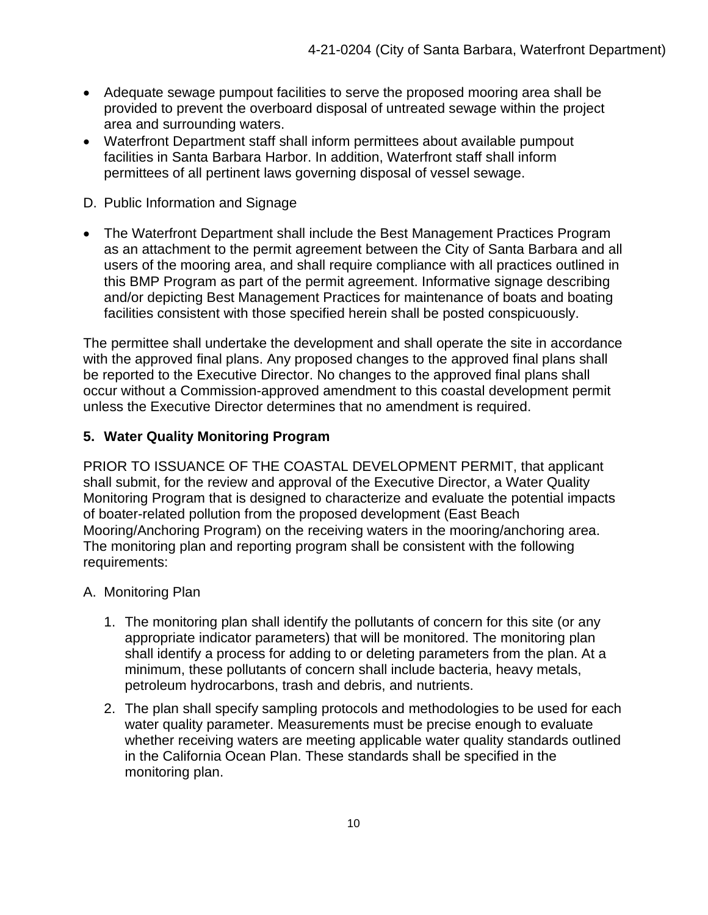- Adequate sewage pumpout facilities to serve the proposed mooring area shall be provided to prevent the overboard disposal of untreated sewage within the project area and surrounding waters.
- Waterfront Department staff shall inform permittees about available pumpout facilities in Santa Barbara Harbor. In addition, Waterfront staff shall inform permittees of all pertinent laws governing disposal of vessel sewage.
- D. Public Information and Signage
- The Waterfront Department shall include the Best Management Practices Program as an attachment to the permit agreement between the City of Santa Barbara and all users of the mooring area, and shall require compliance with all practices outlined in this BMP Program as part of the permit agreement. Informative signage describing and/or depicting Best Management Practices for maintenance of boats and boating facilities consistent with those specified herein shall be posted conspicuously.

The permittee shall undertake the development and shall operate the site in accordance with the approved final plans. Any proposed changes to the approved final plans shall be reported to the Executive Director. No changes to the approved final plans shall occur without a Commission-approved amendment to this coastal development permit unless the Executive Director determines that no amendment is required.

#### **5. Water Quality Monitoring Program**

PRIOR TO ISSUANCE OF THE COASTAL DEVELOPMENT PERMIT, that applicant shall submit, for the review and approval of the Executive Director, a Water Quality Monitoring Program that is designed to characterize and evaluate the potential impacts of boater-related pollution from the proposed development (East Beach Mooring/Anchoring Program) on the receiving waters in the mooring/anchoring area. The monitoring plan and reporting program shall be consistent with the following requirements:

#### A. Monitoring Plan

- 1. The monitoring plan shall identify the pollutants of concern for this site (or any appropriate indicator parameters) that will be monitored. The monitoring plan shall identify a process for adding to or deleting parameters from the plan. At a minimum, these pollutants of concern shall include bacteria, heavy metals, petroleum hydrocarbons, trash and debris, and nutrients.
- 2. The plan shall specify sampling protocols and methodologies to be used for each water quality parameter. Measurements must be precise enough to evaluate whether receiving waters are meeting applicable water quality standards outlined in the California Ocean Plan. These standards shall be specified in the monitoring plan.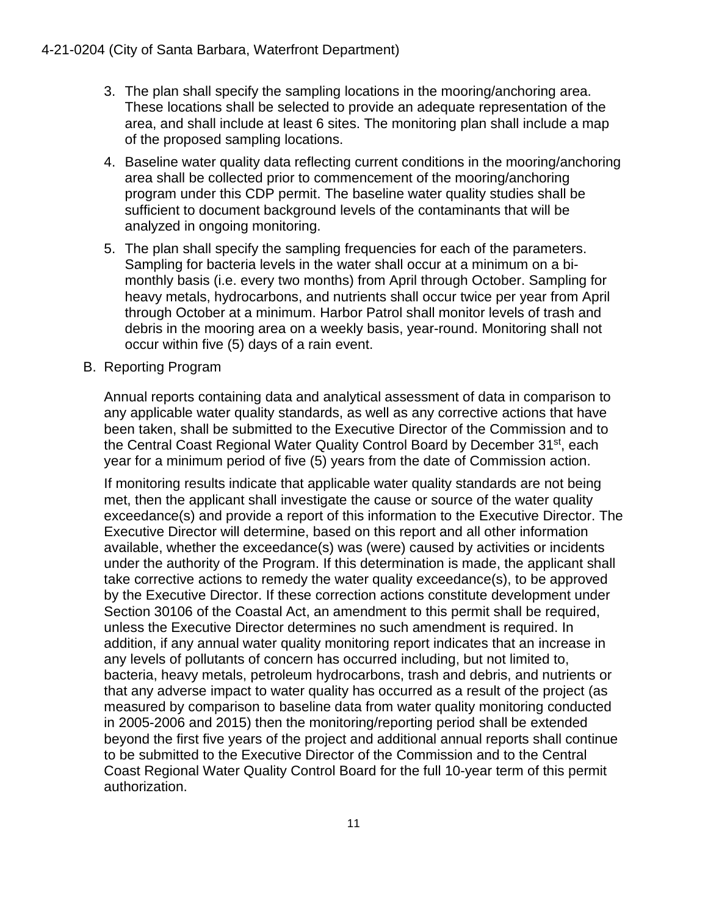- 3. The plan shall specify the sampling locations in the mooring/anchoring area. These locations shall be selected to provide an adequate representation of the area, and shall include at least 6 sites. The monitoring plan shall include a map of the proposed sampling locations.
- 4. Baseline water quality data reflecting current conditions in the mooring/anchoring area shall be collected prior to commencement of the mooring/anchoring program under this CDP permit. The baseline water quality studies shall be sufficient to document background levels of the contaminants that will be analyzed in ongoing monitoring.
- 5. The plan shall specify the sampling frequencies for each of the parameters. Sampling for bacteria levels in the water shall occur at a minimum on a bimonthly basis (i.e. every two months) from April through October. Sampling for heavy metals, hydrocarbons, and nutrients shall occur twice per year from April through October at a minimum. Harbor Patrol shall monitor levels of trash and debris in the mooring area on a weekly basis, year-round. Monitoring shall not occur within five (5) days of a rain event.
- B. Reporting Program

Annual reports containing data and analytical assessment of data in comparison to any applicable water quality standards, as well as any corrective actions that have been taken, shall be submitted to the Executive Director of the Commission and to the Central Coast Regional Water Quality Control Board by December 31<sup>st</sup>, each year for a minimum period of five (5) years from the date of Commission action.

If monitoring results indicate that applicable water quality standards are not being met, then the applicant shall investigate the cause or source of the water quality exceedance(s) and provide a report of this information to the Executive Director. The Executive Director will determine, based on this report and all other information available, whether the exceedance(s) was (were) caused by activities or incidents under the authority of the Program. If this determination is made, the applicant shall take corrective actions to remedy the water quality exceedance(s), to be approved by the Executive Director. If these correction actions constitute development under Section 30106 of the Coastal Act, an amendment to this permit shall be required, unless the Executive Director determines no such amendment is required. In addition, if any annual water quality monitoring report indicates that an increase in any levels of pollutants of concern has occurred including, but not limited to, bacteria, heavy metals, petroleum hydrocarbons, trash and debris, and nutrients or that any adverse impact to water quality has occurred as a result of the project (as measured by comparison to baseline data from water quality monitoring conducted in 2005-2006 and 2015) then the monitoring/reporting period shall be extended beyond the first five years of the project and additional annual reports shall continue to be submitted to the Executive Director of the Commission and to the Central Coast Regional Water Quality Control Board for the full 10-year term of this permit authorization.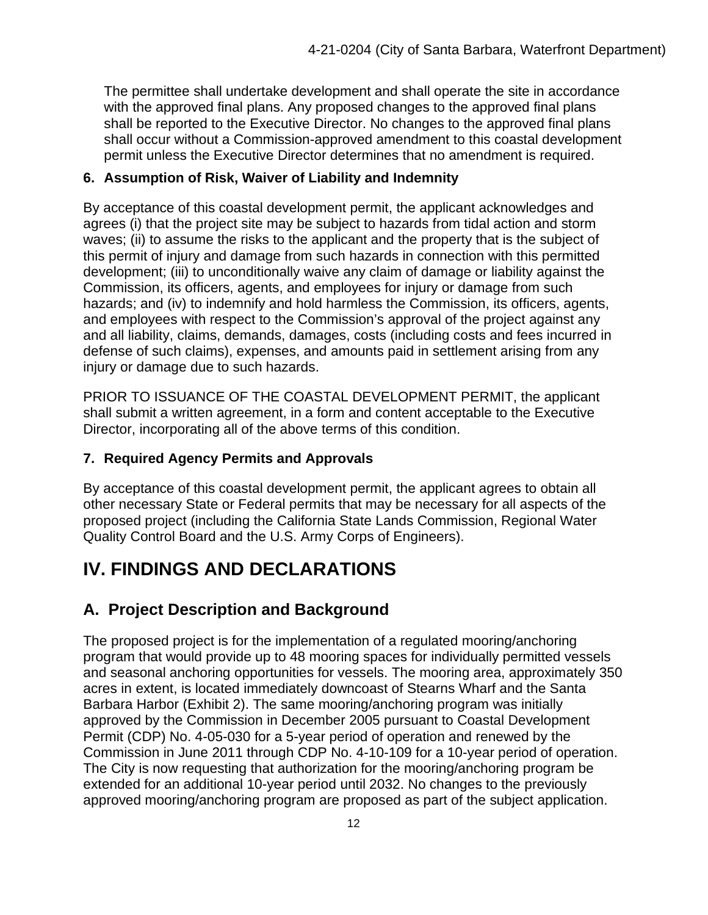The permittee shall undertake development and shall operate the site in accordance with the approved final plans. Any proposed changes to the approved final plans shall be reported to the Executive Director. No changes to the approved final plans shall occur without a Commission-approved amendment to this coastal development permit unless the Executive Director determines that no amendment is required.

#### **6. Assumption of Risk, Waiver of Liability and Indemnity**

By acceptance of this coastal development permit, the applicant acknowledges and agrees (i) that the project site may be subject to hazards from tidal action and storm waves; (ii) to assume the risks to the applicant and the property that is the subject of this permit of injury and damage from such hazards in connection with this permitted development; (iii) to unconditionally waive any claim of damage or liability against the Commission, its officers, agents, and employees for injury or damage from such hazards; and (iv) to indemnify and hold harmless the Commission, its officers, agents, and employees with respect to the Commission's approval of the project against any and all liability, claims, demands, damages, costs (including costs and fees incurred in defense of such claims), expenses, and amounts paid in settlement arising from any injury or damage due to such hazards.

PRIOR TO ISSUANCE OF THE COASTAL DEVELOPMENT PERMIT, the applicant shall submit a written agreement, in a form and content acceptable to the Executive Director, incorporating all of the above terms of this condition.

#### **7. Required Agency Permits and Approvals**

By acceptance of this coastal development permit, the applicant agrees to obtain all other necessary State or Federal permits that may be necessary for all aspects of the proposed project (including the California State Lands Commission, Regional Water Quality Control Board and the U.S. Army Corps of Engineers).

# <span id="page-11-0"></span>**IV. FINDINGS AND DECLARATIONS**

## <span id="page-11-1"></span>**A. Project Description and Background**

The proposed project is for the implementation of a regulated mooring/anchoring program that would provide up to 48 mooring spaces for individually permitted vessels and seasonal anchoring opportunities for vessels. The mooring area, approximately 350 acres in extent, is located immediately downcoast of Stearns Wharf and the Santa Barbara Harbor (Exhibit 2). The same mooring/anchoring program was initially approved by the Commission in December 2005 pursuant to Coastal Development Permit (CDP) No. 4-05-030 for a 5-year period of operation and renewed by the Commission in June 2011 through CDP No. 4-10-109 for a 10-year period of operation. The City is now requesting that authorization for the mooring/anchoring program be extended for an additional 10-year period until 2032. No changes to the previously approved mooring/anchoring program are proposed as part of the subject application.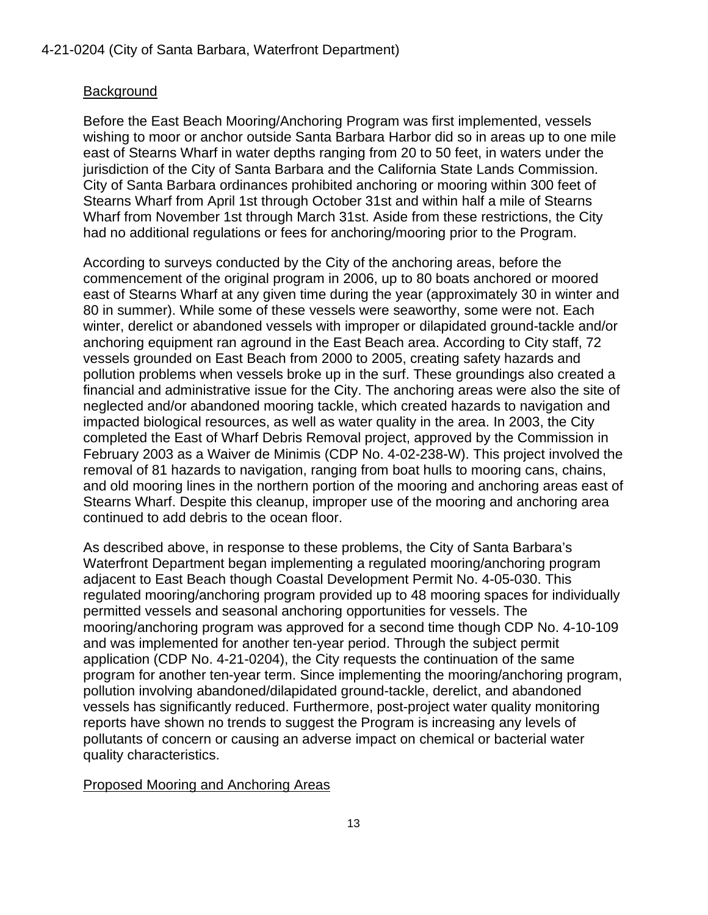#### Background

Before the East Beach Mooring/Anchoring Program was first implemented, vessels wishing to moor or anchor outside Santa Barbara Harbor did so in areas up to one mile east of Stearns Wharf in water depths ranging from 20 to 50 feet, in waters under the jurisdiction of the City of Santa Barbara and the California State Lands Commission. City of Santa Barbara ordinances prohibited anchoring or mooring within 300 feet of Stearns Wharf from April 1st through October 31st and within half a mile of Stearns Wharf from November 1st through March 31st. Aside from these restrictions, the City had no additional regulations or fees for anchoring/mooring prior to the Program.

According to surveys conducted by the City of the anchoring areas, before the commencement of the original program in 2006, up to 80 boats anchored or moored east of Stearns Wharf at any given time during the year (approximately 30 in winter and 80 in summer). While some of these vessels were seaworthy, some were not. Each winter, derelict or abandoned vessels with improper or dilapidated ground-tackle and/or anchoring equipment ran aground in the East Beach area. According to City staff, 72 vessels grounded on East Beach from 2000 to 2005, creating safety hazards and pollution problems when vessels broke up in the surf. These groundings also created a financial and administrative issue for the City. The anchoring areas were also the site of neglected and/or abandoned mooring tackle, which created hazards to navigation and impacted biological resources, as well as water quality in the area. In 2003, the City completed the East of Wharf Debris Removal project, approved by the Commission in February 2003 as a Waiver de Minimis (CDP No. 4-02-238-W). This project involved the removal of 81 hazards to navigation, ranging from boat hulls to mooring cans, chains, and old mooring lines in the northern portion of the mooring and anchoring areas east of Stearns Wharf. Despite this cleanup, improper use of the mooring and anchoring area continued to add debris to the ocean floor.

As described above, in response to these problems, the City of Santa Barbara's Waterfront Department began implementing a regulated mooring/anchoring program adjacent to East Beach though Coastal Development Permit No. 4-05-030. This regulated mooring/anchoring program provided up to 48 mooring spaces for individually permitted vessels and seasonal anchoring opportunities for vessels. The mooring/anchoring program was approved for a second time though CDP No. 4-10-109 and was implemented for another ten-year period. Through the subject permit application (CDP No. 4-21-0204), the City requests the continuation of the same program for another ten-year term. Since implementing the mooring/anchoring program, pollution involving abandoned/dilapidated ground-tackle, derelict, and abandoned vessels has significantly reduced. Furthermore, post-project water quality monitoring reports have shown no trends to suggest the Program is increasing any levels of pollutants of concern or causing an adverse impact on chemical or bacterial water quality characteristics.

#### Proposed Mooring and Anchoring Areas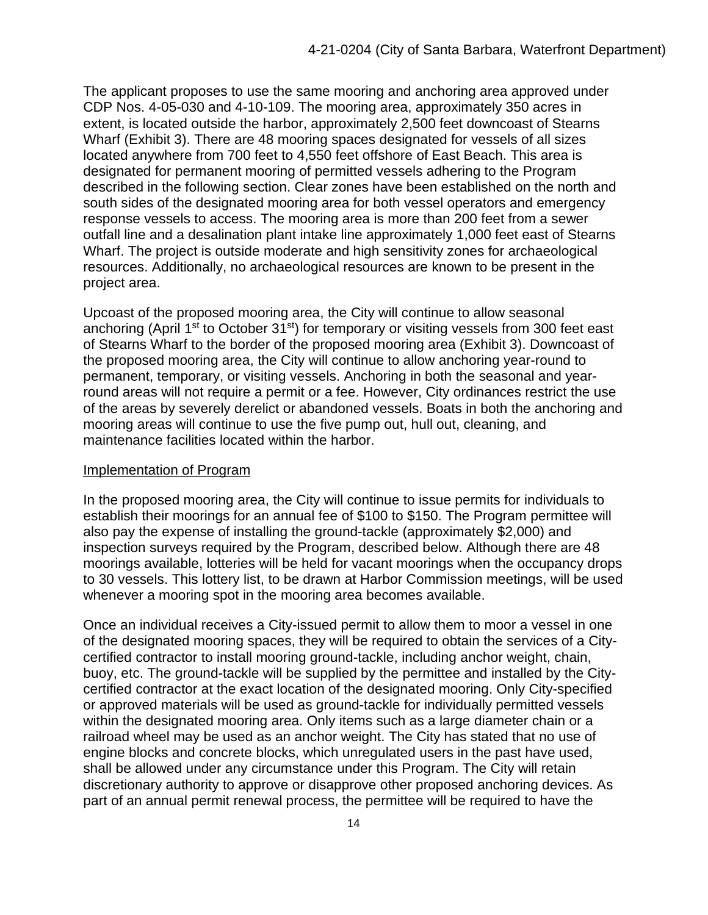The applicant proposes to use the same mooring and anchoring area approved under CDP Nos. 4-05-030 and 4-10-109. The mooring area, approximately 350 acres in extent, is located outside the harbor, approximately 2,500 feet downcoast of Stearns Wharf (Exhibit 3). There are 48 mooring spaces designated for vessels of all sizes located anywhere from 700 feet to 4,550 feet offshore of East Beach. This area is designated for permanent mooring of permitted vessels adhering to the Program described in the following section. Clear zones have been established on the north and south sides of the designated mooring area for both vessel operators and emergency response vessels to access. The mooring area is more than 200 feet from a sewer outfall line and a desalination plant intake line approximately 1,000 feet east of Stearns Wharf. The project is outside moderate and high sensitivity zones for archaeological resources. Additionally, no archaeological resources are known to be present in the project area.

Upcoast of the proposed mooring area, the City will continue to allow seasonal anchoring (April 1<sup>st</sup> to October 31<sup>st</sup>) for temporary or visiting vessels from 300 feet east of Stearns Wharf to the border of the proposed mooring area (Exhibit 3). Downcoast of the proposed mooring area, the City will continue to allow anchoring year-round to permanent, temporary, or visiting vessels. Anchoring in both the seasonal and yearround areas will not require a permit or a fee. However, City ordinances restrict the use of the areas by severely derelict or abandoned vessels. Boats in both the anchoring and mooring areas will continue to use the five pump out, hull out, cleaning, and maintenance facilities located within the harbor.

#### Implementation of Program

In the proposed mooring area, the City will continue to issue permits for individuals to establish their moorings for an annual fee of \$100 to \$150. The Program permittee will also pay the expense of installing the ground-tackle (approximately \$2,000) and inspection surveys required by the Program, described below. Although there are 48 moorings available, lotteries will be held for vacant moorings when the occupancy drops to 30 vessels. This lottery list, to be drawn at Harbor Commission meetings, will be used whenever a mooring spot in the mooring area becomes available.

Once an individual receives a City-issued permit to allow them to moor a vessel in one of the designated mooring spaces, they will be required to obtain the services of a Citycertified contractor to install mooring ground-tackle, including anchor weight, chain, buoy, etc. The ground-tackle will be supplied by the permittee and installed by the Citycertified contractor at the exact location of the designated mooring. Only City-specified or approved materials will be used as ground-tackle for individually permitted vessels within the designated mooring area. Only items such as a large diameter chain or a railroad wheel may be used as an anchor weight. The City has stated that no use of engine blocks and concrete blocks, which unregulated users in the past have used, shall be allowed under any circumstance under this Program. The City will retain discretionary authority to approve or disapprove other proposed anchoring devices. As part of an annual permit renewal process, the permittee will be required to have the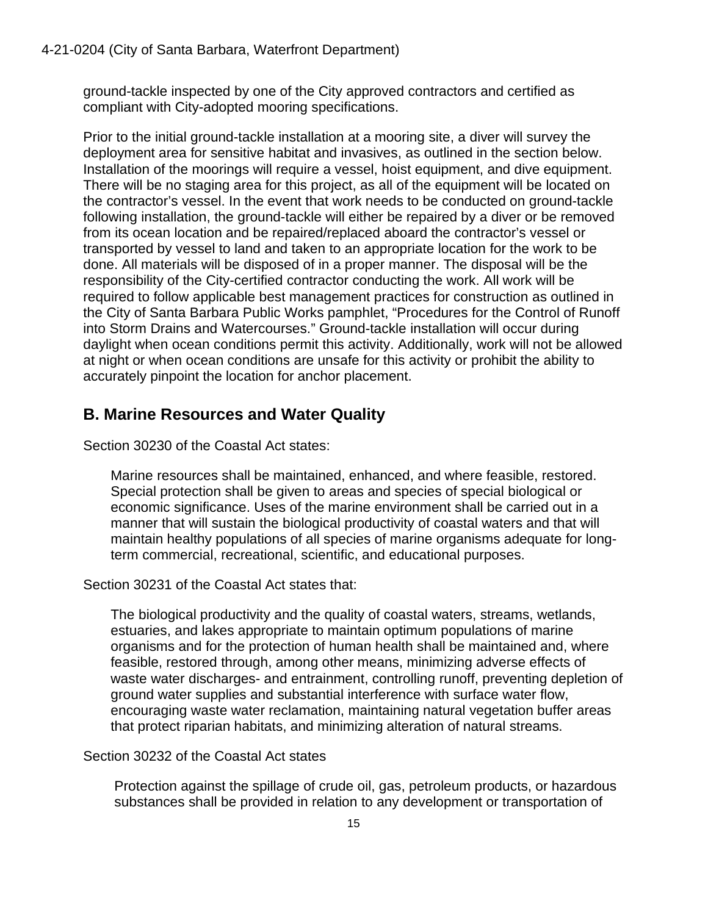ground-tackle inspected by one of the City approved contractors and certified as compliant with City-adopted mooring specifications.

Prior to the initial ground-tackle installation at a mooring site, a diver will survey the deployment area for sensitive habitat and invasives, as outlined in the section below. Installation of the moorings will require a vessel, hoist equipment, and dive equipment. There will be no staging area for this project, as all of the equipment will be located on the contractor's vessel. In the event that work needs to be conducted on ground-tackle following installation, the ground-tackle will either be repaired by a diver or be removed from its ocean location and be repaired/replaced aboard the contractor's vessel or transported by vessel to land and taken to an appropriate location for the work to be done. All materials will be disposed of in a proper manner. The disposal will be the responsibility of the City-certified contractor conducting the work. All work will be required to follow applicable best management practices for construction as outlined in the City of Santa Barbara Public Works pamphlet, "Procedures for the Control of Runoff into Storm Drains and Watercourses." Ground-tackle installation will occur during daylight when ocean conditions permit this activity. Additionally, work will not be allowed at night or when ocean conditions are unsafe for this activity or prohibit the ability to accurately pinpoint the location for anchor placement.

### <span id="page-14-0"></span>**B. Marine Resources and Water Quality**

Section 30230 of the Coastal Act states:

Marine resources shall be maintained, enhanced, and where feasible, restored. Special protection shall be given to areas and species of special biological or economic significance. Uses of the marine environment shall be carried out in a manner that will sustain the biological productivity of coastal waters and that will maintain healthy populations of all species of marine organisms adequate for longterm commercial, recreational, scientific, and educational purposes.

Section 30231 of the Coastal Act states that:

The biological productivity and the quality of coastal waters, streams, wetlands, estuaries, and lakes appropriate to maintain optimum populations of marine organisms and for the protection of human health shall be maintained and, where feasible, restored through, among other means, minimizing adverse effects of waste water discharges- and entrainment, controlling runoff, preventing depletion of ground water supplies and substantial interference with surface water flow, encouraging waste water reclamation, maintaining natural vegetation buffer areas that protect riparian habitats, and minimizing alteration of natural streams.

Section 30232 of the Coastal Act states

Protection against the spillage of crude oil, gas, petroleum products, or hazardous substances shall be provided in relation to any development or transportation of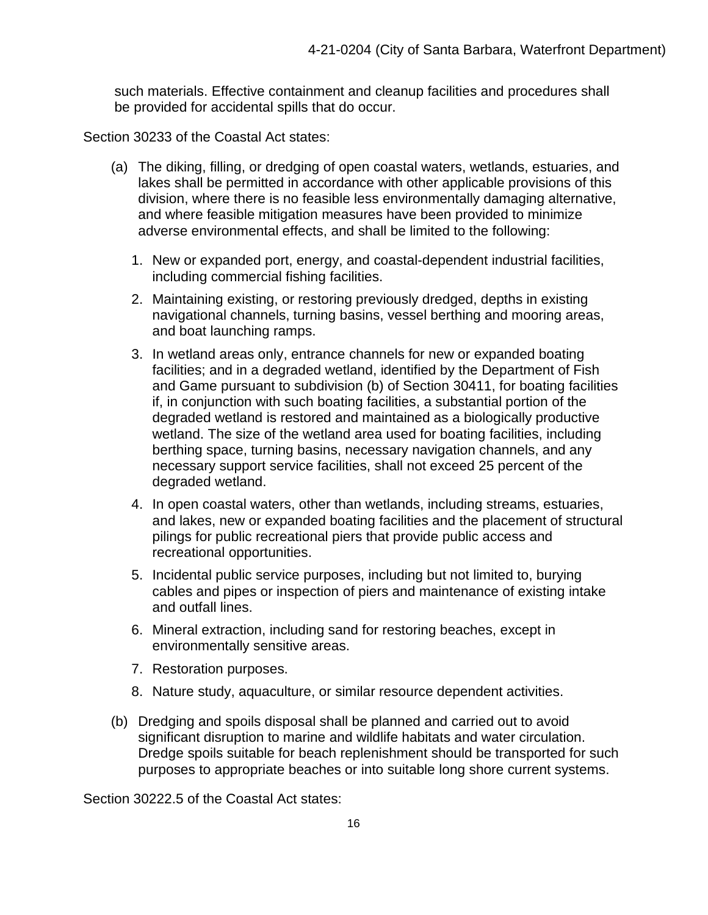such materials. Effective containment and cleanup facilities and procedures shall be provided for accidental spills that do occur.

Section 30233 of the Coastal Act states:

- (a) The diking, filling, or dredging of open coastal waters, wetlands, estuaries, and lakes shall be permitted in accordance with other applicable provisions of this division, where there is no feasible less environmentally damaging alternative, and where feasible mitigation measures have been provided to minimize adverse environmental effects, and shall be limited to the following:
	- 1. New or expanded port, energy, and coastal-dependent industrial facilities, including commercial fishing facilities.
	- 2. Maintaining existing, or restoring previously dredged, depths in existing navigational channels, turning basins, vessel berthing and mooring areas, and boat launching ramps.
	- 3. In wetland areas only, entrance channels for new or expanded boating facilities; and in a degraded wetland, identified by the Department of Fish and Game pursuant to subdivision (b) of Section 30411, for boating facilities if, in conjunction with such boating facilities, a substantial portion of the degraded wetland is restored and maintained as a biologically productive wetland. The size of the wetland area used for boating facilities, including berthing space, turning basins, necessary navigation channels, and any necessary support service facilities, shall not exceed 25 percent of the degraded wetland.
	- 4. In open coastal waters, other than wetlands, including streams, estuaries, and lakes, new or expanded boating facilities and the placement of structural pilings for public recreational piers that provide public access and recreational opportunities.
	- 5. Incidental public service purposes, including but not limited to, burying cables and pipes or inspection of piers and maintenance of existing intake and outfall lines.
	- 6. Mineral extraction, including sand for restoring beaches, except in environmentally sensitive areas.
	- 7. Restoration purposes.
	- 8. Nature study, aquaculture, or similar resource dependent activities.
- (b) Dredging and spoils disposal shall be planned and carried out to avoid significant disruption to marine and wildlife habitats and water circulation. Dredge spoils suitable for beach replenishment should be transported for such purposes to appropriate beaches or into suitable long shore current systems.

Section 30222.5 of the Coastal Act states: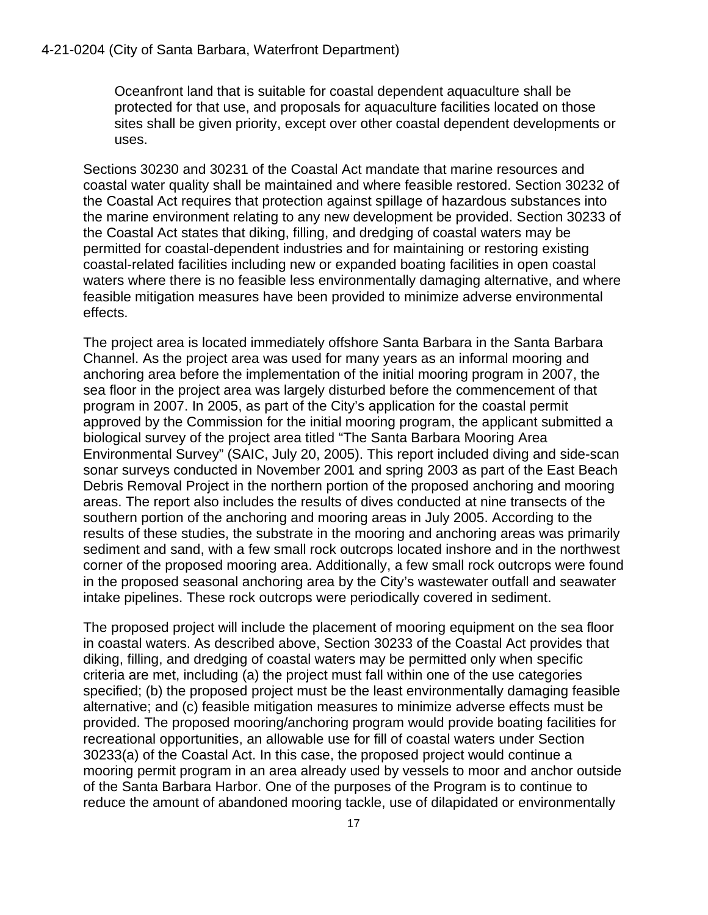Oceanfront land that is suitable for coastal dependent aquaculture shall be protected for that use, and proposals for aquaculture facilities located on those sites shall be given priority, except over other coastal dependent developments or uses.

Sections 30230 and 30231 of the Coastal Act mandate that marine resources and coastal water quality shall be maintained and where feasible restored. Section 30232 of the Coastal Act requires that protection against spillage of hazardous substances into the marine environment relating to any new development be provided. Section 30233 of the Coastal Act states that diking, filling, and dredging of coastal waters may be permitted for coastal-dependent industries and for maintaining or restoring existing coastal-related facilities including new or expanded boating facilities in open coastal waters where there is no feasible less environmentally damaging alternative, and where feasible mitigation measures have been provided to minimize adverse environmental effects.

The project area is located immediately offshore Santa Barbara in the Santa Barbara Channel. As the project area was used for many years as an informal mooring and anchoring area before the implementation of the initial mooring program in 2007, the sea floor in the project area was largely disturbed before the commencement of that program in 2007. In 2005, as part of the City's application for the coastal permit approved by the Commission for the initial mooring program, the applicant submitted a biological survey of the project area titled "The Santa Barbara Mooring Area Environmental Survey" (SAIC, July 20, 2005). This report included diving and side-scan sonar surveys conducted in November 2001 and spring 2003 as part of the East Beach Debris Removal Project in the northern portion of the proposed anchoring and mooring areas. The report also includes the results of dives conducted at nine transects of the southern portion of the anchoring and mooring areas in July 2005. According to the results of these studies, the substrate in the mooring and anchoring areas was primarily sediment and sand, with a few small rock outcrops located inshore and in the northwest corner of the proposed mooring area. Additionally, a few small rock outcrops were found in the proposed seasonal anchoring area by the City's wastewater outfall and seawater intake pipelines. These rock outcrops were periodically covered in sediment.

The proposed project will include the placement of mooring equipment on the sea floor in coastal waters. As described above, Section 30233 of the Coastal Act provides that diking, filling, and dredging of coastal waters may be permitted only when specific criteria are met, including (a) the project must fall within one of the use categories specified; (b) the proposed project must be the least environmentally damaging feasible alternative; and (c) feasible mitigation measures to minimize adverse effects must be provided. The proposed mooring/anchoring program would provide boating facilities for recreational opportunities, an allowable use for fill of coastal waters under Section 30233(a) of the Coastal Act. In this case, the proposed project would continue a mooring permit program in an area already used by vessels to moor and anchor outside of the Santa Barbara Harbor. One of the purposes of the Program is to continue to reduce the amount of abandoned mooring tackle, use of dilapidated or environmentally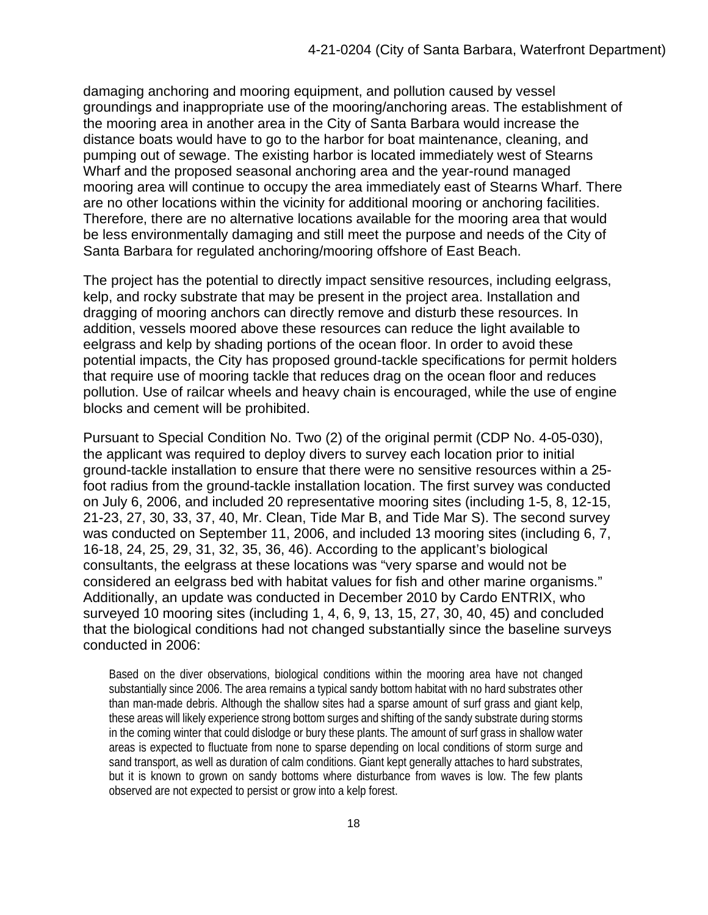damaging anchoring and mooring equipment, and pollution caused by vessel groundings and inappropriate use of the mooring/anchoring areas. The establishment of the mooring area in another area in the City of Santa Barbara would increase the distance boats would have to go to the harbor for boat maintenance, cleaning, and pumping out of sewage. The existing harbor is located immediately west of Stearns Wharf and the proposed seasonal anchoring area and the year-round managed mooring area will continue to occupy the area immediately east of Stearns Wharf. There are no other locations within the vicinity for additional mooring or anchoring facilities. Therefore, there are no alternative locations available for the mooring area that would be less environmentally damaging and still meet the purpose and needs of the City of Santa Barbara for regulated anchoring/mooring offshore of East Beach.

The project has the potential to directly impact sensitive resources, including eelgrass, kelp, and rocky substrate that may be present in the project area. Installation and dragging of mooring anchors can directly remove and disturb these resources. In addition, vessels moored above these resources can reduce the light available to eelgrass and kelp by shading portions of the ocean floor. In order to avoid these potential impacts, the City has proposed ground-tackle specifications for permit holders that require use of mooring tackle that reduces drag on the ocean floor and reduces pollution. Use of railcar wheels and heavy chain is encouraged, while the use of engine blocks and cement will be prohibited.

Pursuant to Special Condition No. Two (2) of the original permit (CDP No. 4-05-030), the applicant was required to deploy divers to survey each location prior to initial ground-tackle installation to ensure that there were no sensitive resources within a 25 foot radius from the ground-tackle installation location. The first survey was conducted on July 6, 2006, and included 20 representative mooring sites (including 1-5, 8, 12-15, 21-23, 27, 30, 33, 37, 40, Mr. Clean, Tide Mar B, and Tide Mar S). The second survey was conducted on September 11, 2006, and included 13 mooring sites (including 6, 7, 16-18, 24, 25, 29, 31, 32, 35, 36, 46). According to the applicant's biological consultants, the eelgrass at these locations was "very sparse and would not be considered an eelgrass bed with habitat values for fish and other marine organisms." Additionally, an update was conducted in December 2010 by Cardo ENTRIX, who surveyed 10 mooring sites (including 1, 4, 6, 9, 13, 15, 27, 30, 40, 45) and concluded that the biological conditions had not changed substantially since the baseline surveys conducted in 2006:

Based on the diver observations, biological conditions within the mooring area have not changed substantially since 2006. The area remains a typical sandy bottom habitat with no hard substrates other than man-made debris. Although the shallow sites had a sparse amount of surf grass and giant kelp, these areas will likely experience strong bottom surges and shifting of the sandy substrate during storms in the coming winter that could dislodge or bury these plants. The amount of surf grass in shallow water areas is expected to fluctuate from none to sparse depending on local conditions of storm surge and sand transport, as well as duration of calm conditions. Giant kept generally attaches to hard substrates, but it is known to grown on sandy bottoms where disturbance from waves is low. The few plants observed are not expected to persist or grow into a kelp forest.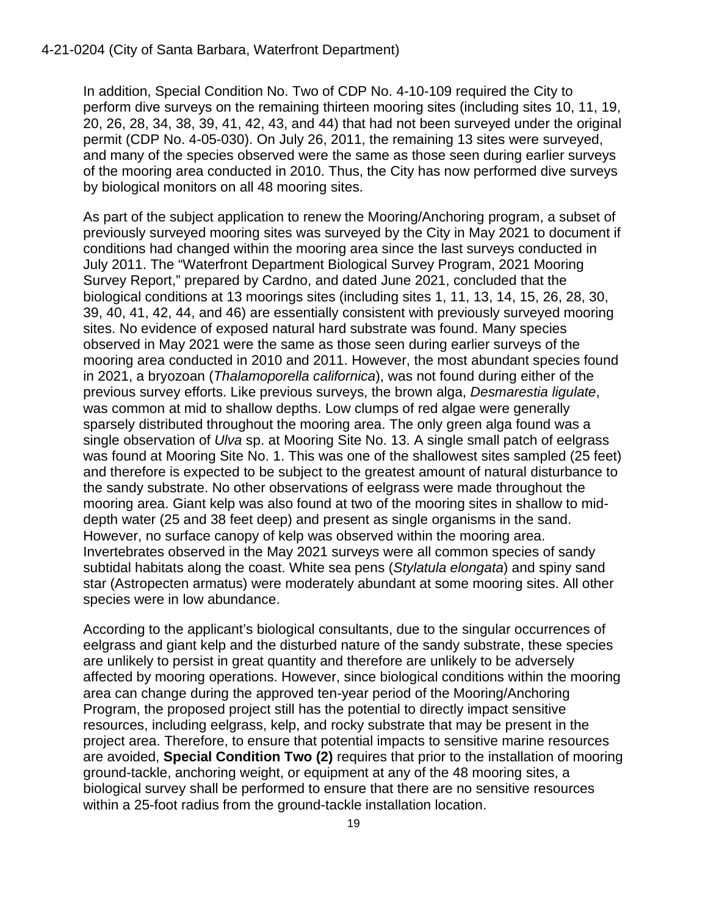In addition, Special Condition No. Two of CDP No. 4-10-109 required the City to perform dive surveys on the remaining thirteen mooring sites (including sites 10, 11, 19, 20, 26, 28, 34, 38, 39, 41, 42, 43, and 44) that had not been surveyed under the original permit (CDP No. 4-05-030). On July 26, 2011, the remaining 13 sites were surveyed, and many of the species observed were the same as those seen during earlier surveys of the mooring area conducted in 2010. Thus, the City has now performed dive surveys by biological monitors on all 48 mooring sites.

As part of the subject application to renew the Mooring/Anchoring program, a subset of previously surveyed mooring sites was surveyed by the City in May 2021 to document if conditions had changed within the mooring area since the last surveys conducted in July 2011. The "Waterfront Department Biological Survey Program, 2021 Mooring Survey Report," prepared by Cardno, and dated June 2021, concluded that the biological conditions at 13 moorings sites (including sites 1, 11, 13, 14, 15, 26, 28, 30, 39, 40, 41, 42, 44, and 46) are essentially consistent with previously surveyed mooring sites. No evidence of exposed natural hard substrate was found. Many species observed in May 2021 were the same as those seen during earlier surveys of the mooring area conducted in 2010 and 2011. However, the most abundant species found in 2021, a bryozoan (*Thalamoporella californica*), was not found during either of the previous survey efforts. Like previous surveys, the brown alga, *Desmarestia ligulate*, was common at mid to shallow depths. Low clumps of red algae were generally sparsely distributed throughout the mooring area. The only green alga found was a single observation of *Ulva* sp. at Mooring Site No. 13. A single small patch of eelgrass was found at Mooring Site No. 1. This was one of the shallowest sites sampled (25 feet) and therefore is expected to be subject to the greatest amount of natural disturbance to the sandy substrate. No other observations of eelgrass were made throughout the mooring area. Giant kelp was also found at two of the mooring sites in shallow to middepth water (25 and 38 feet deep) and present as single organisms in the sand. However, no surface canopy of kelp was observed within the mooring area. Invertebrates observed in the May 2021 surveys were all common species of sandy subtidal habitats along the coast. White sea pens (*Stylatula elongata*) and spiny sand star (Astropecten armatus) were moderately abundant at some mooring sites. All other species were in low abundance.

According to the applicant's biological consultants, due to the singular occurrences of eelgrass and giant kelp and the disturbed nature of the sandy substrate, these species are unlikely to persist in great quantity and therefore are unlikely to be adversely affected by mooring operations. However, since biological conditions within the mooring area can change during the approved ten-year period of the Mooring/Anchoring Program, the proposed project still has the potential to directly impact sensitive resources, including eelgrass, kelp, and rocky substrate that may be present in the project area. Therefore, to ensure that potential impacts to sensitive marine resources are avoided, **Special Condition Two (2)** requires that prior to the installation of mooring ground-tackle, anchoring weight, or equipment at any of the 48 mooring sites, a biological survey shall be performed to ensure that there are no sensitive resources within a 25-foot radius from the ground-tackle installation location.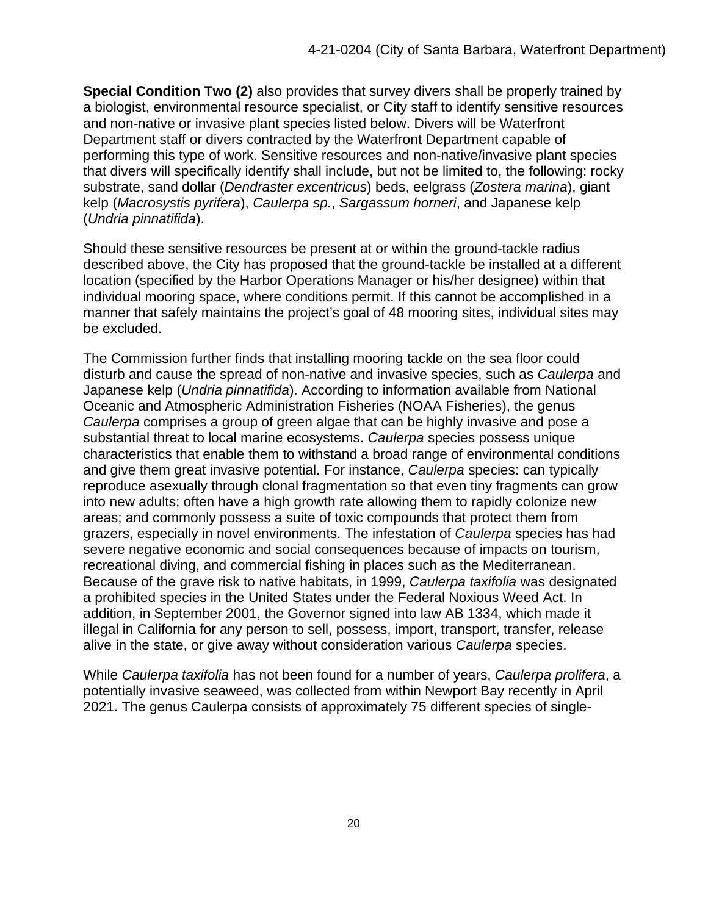**Special Condition Two (2)** also provides that survey divers shall be properly trained by a biologist, environmental resource specialist, or City staff to identify sensitive resources and non-native or invasive plant species listed below. Divers will be Waterfront Department staff or divers contracted by the Waterfront Department capable of performing this type of work. Sensitive resources and non-native/invasive plant species that divers will specifically identify shall include, but not be limited to, the following: rocky substrate, sand dollar (*Dendraster excentricus*) beds, eelgrass (*Zostera marina*), giant kelp (*Macrosystis pyrifera*), *Caulerpa sp.*, *Sargassum horneri*, and Japanese kelp (*Undria pinnatifida*).

Should these sensitive resources be present at or within the ground-tackle radius described above, the City has proposed that the ground-tackle be installed at a different location (specified by the Harbor Operations Manager or his/her designee) within that individual mooring space, where conditions permit. If this cannot be accomplished in a manner that safely maintains the project's goal of 48 mooring sites, individual sites may be excluded.

The Commission further finds that installing mooring tackle on the sea floor could disturb and cause the spread of non-native and invasive species, such as *Caulerpa* and Japanese kelp (*Undria pinnatifida*). According to information available from National Oceanic and Atmospheric Administration Fisheries (NOAA Fisheries), the genus *Caulerpa* comprises a group of green algae that can be highly invasive and pose a substantial threat to local marine ecosystems. *Caulerpa* species possess unique characteristics that enable them to withstand a broad range of environmental conditions and give them great invasive potential. For instance, *Caulerpa* species: can typically reproduce asexually through clonal fragmentation so that even tiny fragments can grow into new adults; often have a high growth rate allowing them to rapidly colonize new areas; and commonly possess a suite of toxic compounds that protect them from grazers, especially in novel environments. The infestation of *Caulerpa* species has had severe negative economic and social consequences because of impacts on tourism, recreational diving, and commercial fishing in places such as the Mediterranean. Because of the grave risk to native habitats, in 1999, *Caulerpa taxifolia* was designated a prohibited species in the United States under the Federal Noxious Weed Act. In addition, in September 2001, the Governor signed into law AB 1334, which made it illegal in California for any person to sell, possess, import, transport, transfer, release alive in the state, or give away without consideration various *Caulerpa* species.

While *Caulerpa taxifolia* has not been found for a number of years, *Caulerpa prolifera*, a potentially invasive seaweed, was collected from within Newport Bay recently in April 2021. The genus Caulerpa consists of approximately 75 different species of single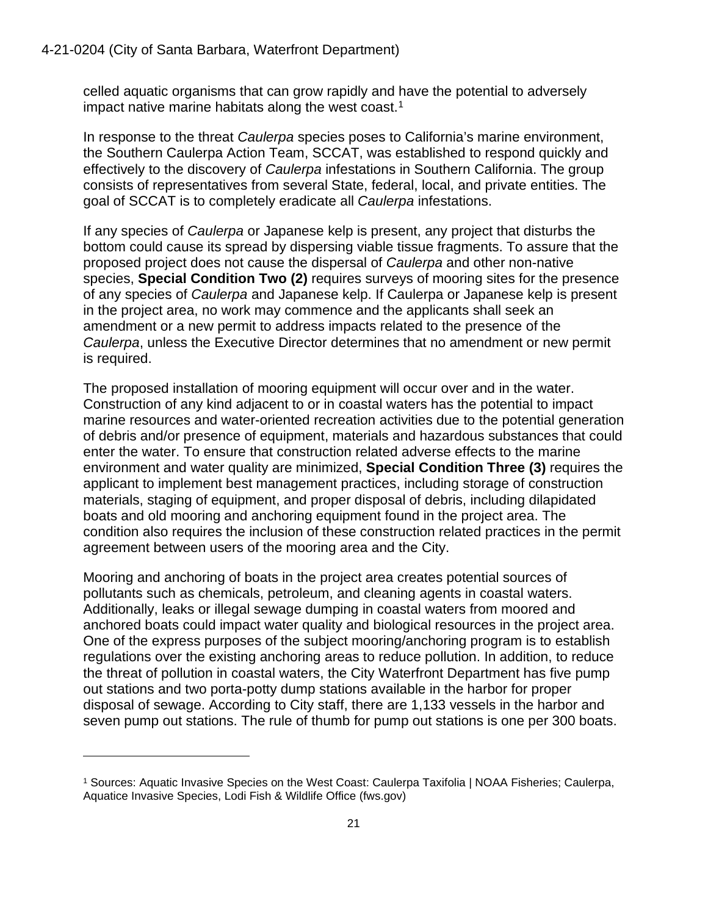celled aquatic organisms that can grow rapidly and have the potential to adversely impact native marine habitats along the west coast.<sup>[1](#page-20-0)</sup>

In response to the threat *Caulerpa* species poses to California's marine environment, the Southern Caulerpa Action Team, SCCAT, was established to respond quickly and effectively to the discovery of *Caulerpa* infestations in Southern California. The group consists of representatives from several State, federal, local, and private entities. The goal of SCCAT is to completely eradicate all *Caulerpa* infestations.

If any species of *Caulerpa* or Japanese kelp is present, any project that disturbs the bottom could cause its spread by dispersing viable tissue fragments. To assure that the proposed project does not cause the dispersal of *Caulerpa* and other non-native species, **Special Condition Two (2)** requires surveys of mooring sites for the presence of any species of *Caulerpa* and Japanese kelp. If Caulerpa or Japanese kelp is present in the project area, no work may commence and the applicants shall seek an amendment or a new permit to address impacts related to the presence of the *Caulerpa*, unless the Executive Director determines that no amendment or new permit is required.

The proposed installation of mooring equipment will occur over and in the water. Construction of any kind adjacent to or in coastal waters has the potential to impact marine resources and water-oriented recreation activities due to the potential generation of debris and/or presence of equipment, materials and hazardous substances that could enter the water. To ensure that construction related adverse effects to the marine environment and water quality are minimized, **Special Condition Three (3)** requires the applicant to implement best management practices, including storage of construction materials, staging of equipment, and proper disposal of debris, including dilapidated boats and old mooring and anchoring equipment found in the project area. The condition also requires the inclusion of these construction related practices in the permit agreement between users of the mooring area and the City.

Mooring and anchoring of boats in the project area creates potential sources of pollutants such as chemicals, petroleum, and cleaning agents in coastal waters. Additionally, leaks or illegal sewage dumping in coastal waters from moored and anchored boats could impact water quality and biological resources in the project area. One of the express purposes of the subject mooring/anchoring program is to establish regulations over the existing anchoring areas to reduce pollution. In addition, to reduce the threat of pollution in coastal waters, the City Waterfront Department has five pump out stations and two porta-potty dump stations available in the harbor for proper disposal of sewage. According to City staff, there are 1,133 vessels in the harbor and seven pump out stations. The rule of thumb for pump out stations is one per 300 boats.

<span id="page-20-0"></span><sup>1</sup> Sources: Aquatic Invasive Species on the West Coast: Caulerpa Taxifolia | NOAA Fisheries; Caulerpa, Aquatice Invasive Species, Lodi Fish & Wildlife Office (fws.gov)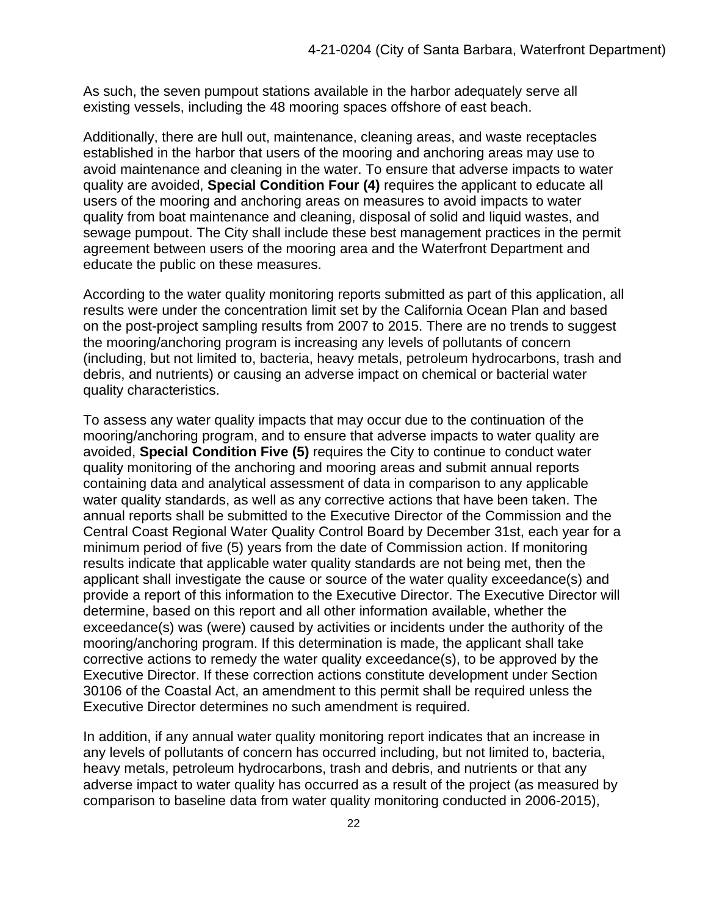As such, the seven pumpout stations available in the harbor adequately serve all existing vessels, including the 48 mooring spaces offshore of east beach.

Additionally, there are hull out, maintenance, cleaning areas, and waste receptacles established in the harbor that users of the mooring and anchoring areas may use to avoid maintenance and cleaning in the water. To ensure that adverse impacts to water quality are avoided, **Special Condition Four (4)** requires the applicant to educate all users of the mooring and anchoring areas on measures to avoid impacts to water quality from boat maintenance and cleaning, disposal of solid and liquid wastes, and sewage pumpout. The City shall include these best management practices in the permit agreement between users of the mooring area and the Waterfront Department and educate the public on these measures.

According to the water quality monitoring reports submitted as part of this application, all results were under the concentration limit set by the California Ocean Plan and based on the post-project sampling results from 2007 to 2015. There are no trends to suggest the mooring/anchoring program is increasing any levels of pollutants of concern (including, but not limited to, bacteria, heavy metals, petroleum hydrocarbons, trash and debris, and nutrients) or causing an adverse impact on chemical or bacterial water quality characteristics.

To assess any water quality impacts that may occur due to the continuation of the mooring/anchoring program, and to ensure that adverse impacts to water quality are avoided, **Special Condition Five (5)** requires the City to continue to conduct water quality monitoring of the anchoring and mooring areas and submit annual reports containing data and analytical assessment of data in comparison to any applicable water quality standards, as well as any corrective actions that have been taken. The annual reports shall be submitted to the Executive Director of the Commission and the Central Coast Regional Water Quality Control Board by December 31st, each year for a minimum period of five (5) years from the date of Commission action. If monitoring results indicate that applicable water quality standards are not being met, then the applicant shall investigate the cause or source of the water quality exceedance(s) and provide a report of this information to the Executive Director. The Executive Director will determine, based on this report and all other information available, whether the exceedance(s) was (were) caused by activities or incidents under the authority of the mooring/anchoring program. If this determination is made, the applicant shall take corrective actions to remedy the water quality exceedance(s), to be approved by the Executive Director. If these correction actions constitute development under Section 30106 of the Coastal Act, an amendment to this permit shall be required unless the Executive Director determines no such amendment is required.

In addition, if any annual water quality monitoring report indicates that an increase in any levels of pollutants of concern has occurred including, but not limited to, bacteria, heavy metals, petroleum hydrocarbons, trash and debris, and nutrients or that any adverse impact to water quality has occurred as a result of the project (as measured by comparison to baseline data from water quality monitoring conducted in 2006-2015),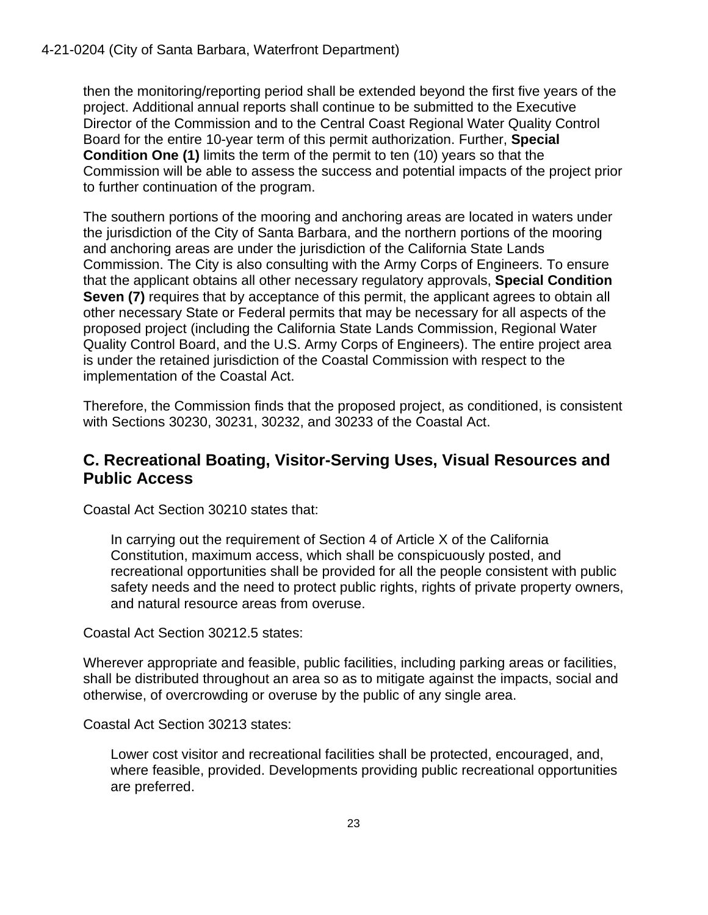then the monitoring/reporting period shall be extended beyond the first five years of the project. Additional annual reports shall continue to be submitted to the Executive Director of the Commission and to the Central Coast Regional Water Quality Control Board for the entire 10-year term of this permit authorization. Further, **Special Condition One (1)** limits the term of the permit to ten (10) years so that the Commission will be able to assess the success and potential impacts of the project prior to further continuation of the program.

The southern portions of the mooring and anchoring areas are located in waters under the jurisdiction of the City of Santa Barbara, and the northern portions of the mooring and anchoring areas are under the jurisdiction of the California State Lands Commission. The City is also consulting with the Army Corps of Engineers. To ensure that the applicant obtains all other necessary regulatory approvals, **Special Condition Seven (7)** requires that by acceptance of this permit, the applicant agrees to obtain all other necessary State or Federal permits that may be necessary for all aspects of the proposed project (including the California State Lands Commission, Regional Water Quality Control Board, and the U.S. Army Corps of Engineers). The entire project area is under the retained jurisdiction of the Coastal Commission with respect to the implementation of the Coastal Act.

Therefore, the Commission finds that the proposed project, as conditioned, is consistent with Sections 30230, 30231, 30232, and 30233 of the Coastal Act.

### <span id="page-22-0"></span>**C. Recreational Boating, Visitor-Serving Uses, Visual Resources and Public Access**

Coastal Act Section 30210 states that:

In carrying out the requirement of Section 4 of Article X of the California Constitution, maximum access, which shall be conspicuously posted, and recreational opportunities shall be provided for all the people consistent with public safety needs and the need to protect public rights, rights of private property owners, and natural resource areas from overuse.

Coastal Act Section 30212.5 states:

Wherever appropriate and feasible, public facilities, including parking areas or facilities, shall be distributed throughout an area so as to mitigate against the impacts, social and otherwise, of overcrowding or overuse by the public of any single area.

Coastal Act Section 30213 states:

Lower cost visitor and recreational facilities shall be protected, encouraged, and, where feasible, provided. Developments providing public recreational opportunities are preferred.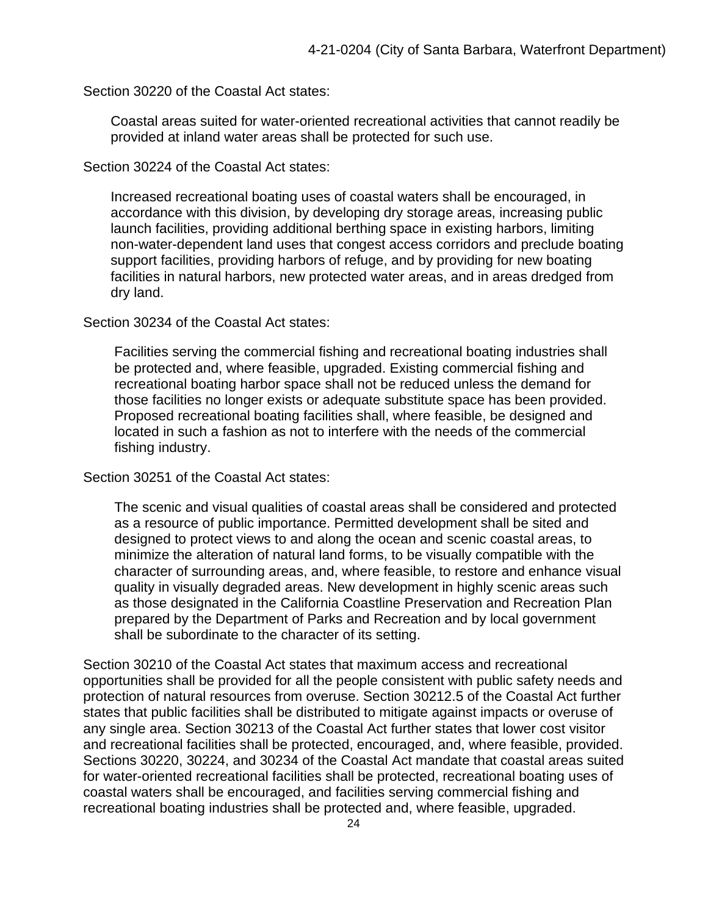Section 30220 of the Coastal Act states:

Coastal areas suited for water-oriented recreational activities that cannot readily be provided at inland water areas shall be protected for such use.

Section 30224 of the Coastal Act states:

Increased recreational boating uses of coastal waters shall be encouraged, in accordance with this division, by developing dry storage areas, increasing public launch facilities, providing additional berthing space in existing harbors, limiting non-water-dependent land uses that congest access corridors and preclude boating support facilities, providing harbors of refuge, and by providing for new boating facilities in natural harbors, new protected water areas, and in areas dredged from dry land.

Section 30234 of the Coastal Act states:

Facilities serving the commercial fishing and recreational boating industries shall be protected and, where feasible, upgraded. Existing commercial fishing and recreational boating harbor space shall not be reduced unless the demand for those facilities no longer exists or adequate substitute space has been provided. Proposed recreational boating facilities shall, where feasible, be designed and located in such a fashion as not to interfere with the needs of the commercial fishing industry.

Section 30251 of the Coastal Act states:

The scenic and visual qualities of coastal areas shall be considered and protected as a resource of public importance. Permitted development shall be sited and designed to protect views to and along the ocean and scenic coastal areas, to minimize the alteration of natural land forms, to be visually compatible with the character of surrounding areas, and, where feasible, to restore and enhance visual quality in visually degraded areas. New development in highly scenic areas such as those designated in the California Coastline Preservation and Recreation Plan prepared by the Department of Parks and Recreation and by local government shall be subordinate to the character of its setting.

Section 30210 of the Coastal Act states that maximum access and recreational opportunities shall be provided for all the people consistent with public safety needs and protection of natural resources from overuse. Section 30212.5 of the Coastal Act further states that public facilities shall be distributed to mitigate against impacts or overuse of any single area. Section 30213 of the Coastal Act further states that lower cost visitor and recreational facilities shall be protected, encouraged, and, where feasible, provided. Sections 30220, 30224, and 30234 of the Coastal Act mandate that coastal areas suited for water-oriented recreational facilities shall be protected, recreational boating uses of coastal waters shall be encouraged, and facilities serving commercial fishing and recreational boating industries shall be protected and, where feasible, upgraded.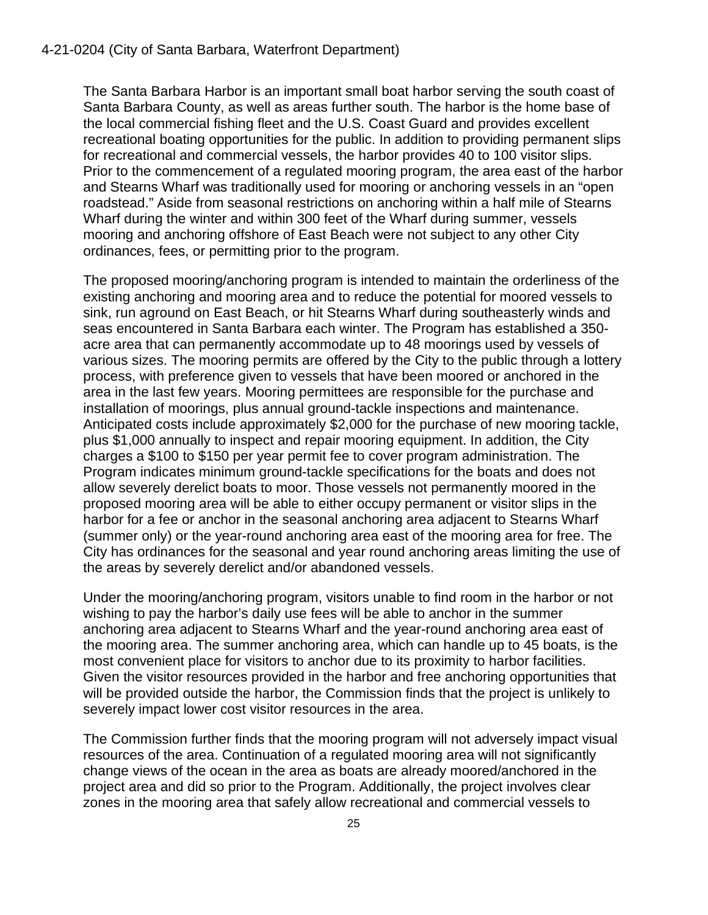#### 4-21-0204 (City of Santa Barbara, Waterfront Department)

The Santa Barbara Harbor is an important small boat harbor serving the south coast of Santa Barbara County, as well as areas further south. The harbor is the home base of the local commercial fishing fleet and the U.S. Coast Guard and provides excellent recreational boating opportunities for the public. In addition to providing permanent slips for recreational and commercial vessels, the harbor provides 40 to 100 visitor slips. Prior to the commencement of a regulated mooring program, the area east of the harbor and Stearns Wharf was traditionally used for mooring or anchoring vessels in an "open roadstead." Aside from seasonal restrictions on anchoring within a half mile of Stearns Wharf during the winter and within 300 feet of the Wharf during summer, vessels mooring and anchoring offshore of East Beach were not subject to any other City ordinances, fees, or permitting prior to the program.

The proposed mooring/anchoring program is intended to maintain the orderliness of the existing anchoring and mooring area and to reduce the potential for moored vessels to sink, run aground on East Beach, or hit Stearns Wharf during southeasterly winds and seas encountered in Santa Barbara each winter. The Program has established a 350 acre area that can permanently accommodate up to 48 moorings used by vessels of various sizes. The mooring permits are offered by the City to the public through a lottery process, with preference given to vessels that have been moored or anchored in the area in the last few years. Mooring permittees are responsible for the purchase and installation of moorings, plus annual ground-tackle inspections and maintenance. Anticipated costs include approximately \$2,000 for the purchase of new mooring tackle, plus \$1,000 annually to inspect and repair mooring equipment. In addition, the City charges a \$100 to \$150 per year permit fee to cover program administration. The Program indicates minimum ground-tackle specifications for the boats and does not allow severely derelict boats to moor. Those vessels not permanently moored in the proposed mooring area will be able to either occupy permanent or visitor slips in the harbor for a fee or anchor in the seasonal anchoring area adjacent to Stearns Wharf (summer only) or the year-round anchoring area east of the mooring area for free. The City has ordinances for the seasonal and year round anchoring areas limiting the use of the areas by severely derelict and/or abandoned vessels.

Under the mooring/anchoring program, visitors unable to find room in the harbor or not wishing to pay the harbor's daily use fees will be able to anchor in the summer anchoring area adjacent to Stearns Wharf and the year-round anchoring area east of the mooring area. The summer anchoring area, which can handle up to 45 boats, is the most convenient place for visitors to anchor due to its proximity to harbor facilities. Given the visitor resources provided in the harbor and free anchoring opportunities that will be provided outside the harbor, the Commission finds that the project is unlikely to severely impact lower cost visitor resources in the area.

The Commission further finds that the mooring program will not adversely impact visual resources of the area. Continuation of a regulated mooring area will not significantly change views of the ocean in the area as boats are already moored/anchored in the project area and did so prior to the Program. Additionally, the project involves clear zones in the mooring area that safely allow recreational and commercial vessels to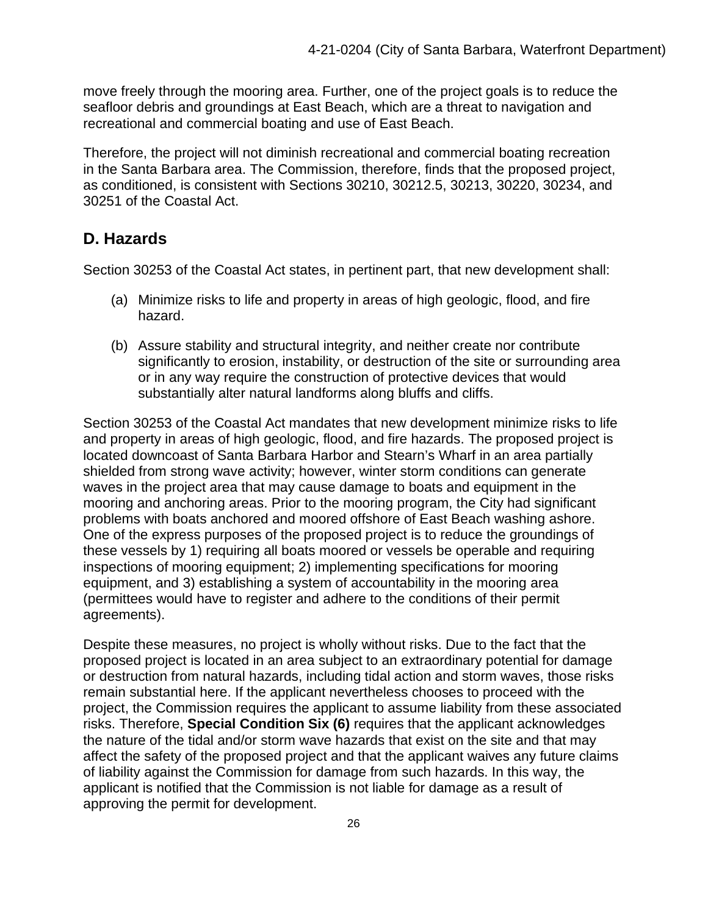move freely through the mooring area. Further, one of the project goals is to reduce the seafloor debris and groundings at East Beach, which are a threat to navigation and recreational and commercial boating and use of East Beach.

Therefore, the project will not diminish recreational and commercial boating recreation in the Santa Barbara area. The Commission, therefore, finds that the proposed project, as conditioned, is consistent with Sections 30210, 30212.5, 30213, 30220, 30234, and 30251 of the Coastal Act.

### <span id="page-25-0"></span>**D. Hazards**

Section 30253 of the Coastal Act states, in pertinent part, that new development shall:

- (a) Minimize risks to life and property in areas of high geologic, flood, and fire hazard.
- (b) Assure stability and structural integrity, and neither create nor contribute significantly to erosion, instability, or destruction of the site or surrounding area or in any way require the construction of protective devices that would substantially alter natural landforms along bluffs and cliffs.

Section 30253 of the Coastal Act mandates that new development minimize risks to life and property in areas of high geologic, flood, and fire hazards. The proposed project is located downcoast of Santa Barbara Harbor and Stearn's Wharf in an area partially shielded from strong wave activity; however, winter storm conditions can generate waves in the project area that may cause damage to boats and equipment in the mooring and anchoring areas. Prior to the mooring program, the City had significant problems with boats anchored and moored offshore of East Beach washing ashore. One of the express purposes of the proposed project is to reduce the groundings of these vessels by 1) requiring all boats moored or vessels be operable and requiring inspections of mooring equipment; 2) implementing specifications for mooring equipment, and 3) establishing a system of accountability in the mooring area (permittees would have to register and adhere to the conditions of their permit agreements).

Despite these measures, no project is wholly without risks. Due to the fact that the proposed project is located in an area subject to an extraordinary potential for damage or destruction from natural hazards, including tidal action and storm waves, those risks remain substantial here. If the applicant nevertheless chooses to proceed with the project, the Commission requires the applicant to assume liability from these associated risks. Therefore, **Special Condition Six (6)** requires that the applicant acknowledges the nature of the tidal and/or storm wave hazards that exist on the site and that may affect the safety of the proposed project and that the applicant waives any future claims of liability against the Commission for damage from such hazards. In this way, the applicant is notified that the Commission is not liable for damage as a result of approving the permit for development.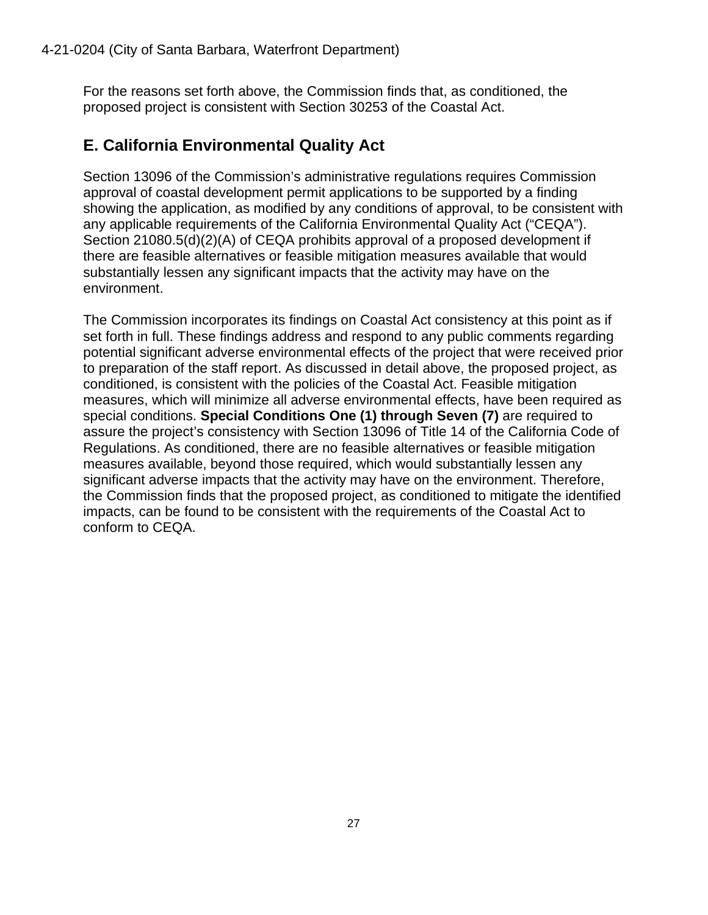For the reasons set forth above, the Commission finds that, as conditioned, the proposed project is consistent with Section 30253 of the Coastal Act.

### <span id="page-26-0"></span>**E. California Environmental Quality Act**

Section 13096 of the Commission's administrative regulations requires Commission approval of coastal development permit applications to be supported by a finding showing the application, as modified by any conditions of approval, to be consistent with any applicable requirements of the California Environmental Quality Act ("CEQA"). Section 21080.5(d)(2)(A) of CEQA prohibits approval of a proposed development if there are feasible alternatives or feasible mitigation measures available that would substantially lessen any significant impacts that the activity may have on the environment.

The Commission incorporates its findings on Coastal Act consistency at this point as if set forth in full. These findings address and respond to any public comments regarding potential significant adverse environmental effects of the project that were received prior to preparation of the staff report. As discussed in detail above, the proposed project, as conditioned, is consistent with the policies of the Coastal Act. Feasible mitigation measures, which will minimize all adverse environmental effects, have been required as special conditions. **Special Conditions One (1) through Seven (7)** are required to assure the project's consistency with Section 13096 of Title 14 of the California Code of Regulations. As conditioned, there are no feasible alternatives or feasible mitigation measures available, beyond those required, which would substantially lessen any significant adverse impacts that the activity may have on the environment. Therefore, the Commission finds that the proposed project, as conditioned to mitigate the identified impacts, can be found to be consistent with the requirements of the Coastal Act to conform to CEQA.